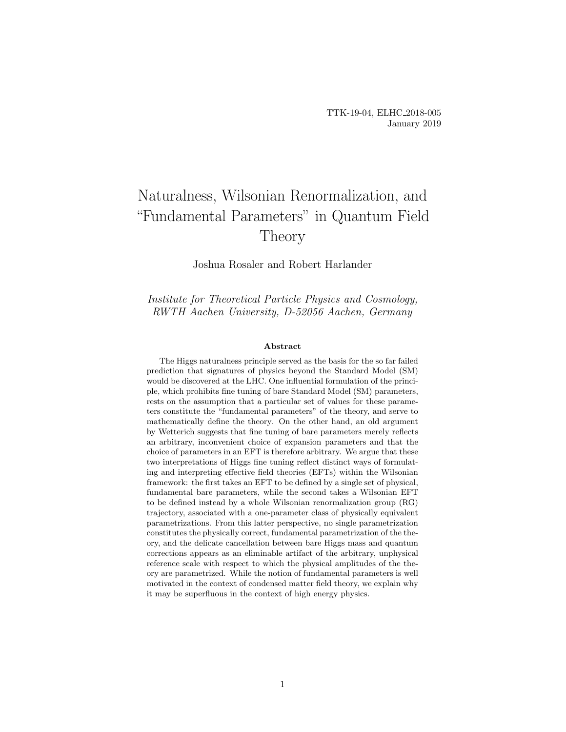# Naturalness, Wilsonian Renormalization, and "Fundamental Parameters" in Quantum Field Theory

Joshua Rosaler and Robert Harlander

Institute for Theoretical Particle Physics and Cosmology, RWTH Aachen University, D-52056 Aachen, Germany

#### Abstract

The Higgs naturalness principle served as the basis for the so far failed prediction that signatures of physics beyond the Standard Model (SM) would be discovered at the LHC. One influential formulation of the principle, which prohibits fine tuning of bare Standard Model (SM) parameters, rests on the assumption that a particular set of values for these parameters constitute the "fundamental parameters" of the theory, and serve to mathematically define the theory. On the other hand, an old argument by Wetterich suggests that fine tuning of bare parameters merely reflects an arbitrary, inconvenient choice of expansion parameters and that the choice of parameters in an EFT is therefore arbitrary. We argue that these two interpretations of Higgs fine tuning reflect distinct ways of formulating and interpreting effective field theories (EFTs) within the Wilsonian framework: the first takes an EFT to be defined by a single set of physical, fundamental bare parameters, while the second takes a Wilsonian EFT to be defined instead by a whole Wilsonian renormalization group (RG) trajectory, associated with a one-parameter class of physically equivalent parametrizations. From this latter perspective, no single parametrization constitutes the physically correct, fundamental parametrization of the theory, and the delicate cancellation between bare Higgs mass and quantum corrections appears as an eliminable artifact of the arbitrary, unphysical reference scale with respect to which the physical amplitudes of the theory are parametrized. While the notion of fundamental parameters is well motivated in the context of condensed matter field theory, we explain why it may be superfluous in the context of high energy physics.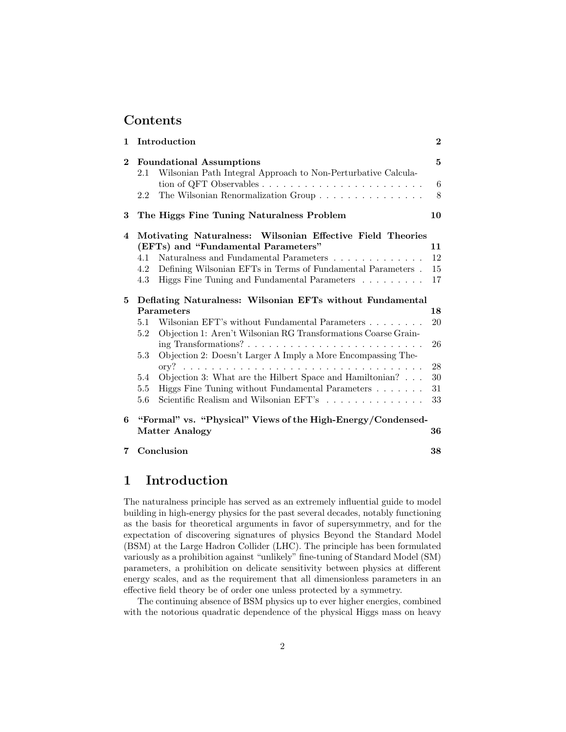## Contents

| $\mathbf{1}$ |                                                           | Introduction                                                                                                                                       | $\boldsymbol{2}$ |  |
|--------------|-----------------------------------------------------------|----------------------------------------------------------------------------------------------------------------------------------------------------|------------------|--|
| $\mathbf{2}$ | <b>Foundational Assumptions</b>                           |                                                                                                                                                    | 5                |  |
|              | 2.1                                                       | Wilsonian Path Integral Approach to Non-Perturbative Calcula-<br>tion of QFT Observables $\ldots \ldots \ldots \ldots \ldots \ldots \ldots \ldots$ | $6\phantom{.}6$  |  |
|              | 2.2                                                       | The Wilsonian Renormalization Group                                                                                                                | 8                |  |
| 3            |                                                           | The Higgs Fine Tuning Naturalness Problem                                                                                                          | 10               |  |
| 4            |                                                           | Motivating Naturalness: Wilsonian Effective Field Theories<br>(EFTs) and "Fundamental Parameters"                                                  | 11               |  |
|              | 4.1                                                       | Naturalness and Fundamental Parameters $\dots \dots \dots \dots$                                                                                   | 12               |  |
|              | 4.2                                                       | Defining Wilsonian EFTs in Terms of Fundamental Parameters.                                                                                        | 15               |  |
|              | 4.3                                                       | Higgs Fine Tuning and Fundamental Parameters                                                                                                       | 17               |  |
| 5            | Deflating Naturalness: Wilsonian EFTs without Fundamental |                                                                                                                                                    |                  |  |
|              |                                                           | Parameters                                                                                                                                         | 18               |  |
|              | 5.1<br>$5.2\,$                                            | Wilsonian EFT's without Fundamental Parameters<br>Objection 1: Aren't Wilsonian RG Transformations Coarse Grain-                                   | 20               |  |
|              |                                                           |                                                                                                                                                    | 26               |  |
|              | 5.3                                                       | Objection 2: Doesn't Larger $\Lambda$ Imply a More Encompassing The-                                                                               |                  |  |
|              |                                                           |                                                                                                                                                    | 28               |  |
|              | 5.4<br>5.5                                                | Objection 3: What are the Hilbert Space and Hamiltonian? $\ldots$                                                                                  | 30<br>31         |  |
|              | 5.6                                                       | Higgs Fine Tuning without Fundamental Parameters<br>Scientific Realism and Wilsonian EFT's                                                         | 33               |  |
|              |                                                           |                                                                                                                                                    |                  |  |
| 6            |                                                           | "Formal" vs. "Physical" Views of the High-Energy/Condensed-                                                                                        |                  |  |
|              |                                                           | <b>Matter Analogy</b>                                                                                                                              | 36               |  |
| 7            |                                                           | Conclusion                                                                                                                                         | 38               |  |

# 1 Introduction

The naturalness principle has served as an extremely influential guide to model building in high-energy physics for the past several decades, notably functioning as the basis for theoretical arguments in favor of supersymmetry, and for the expectation of discovering signatures of physics Beyond the Standard Model (BSM) at the Large Hadron Collider (LHC). The principle has been formulated variously as a prohibition against "unlikely" fine-tuning of Standard Model (SM) parameters, a prohibition on delicate sensitivity between physics at different energy scales, and as the requirement that all dimensionless parameters in an effective field theory be of order one unless protected by a symmetry.

The continuing absence of BSM physics up to ever higher energies, combined with the notorious quadratic dependence of the physical Higgs mass on heavy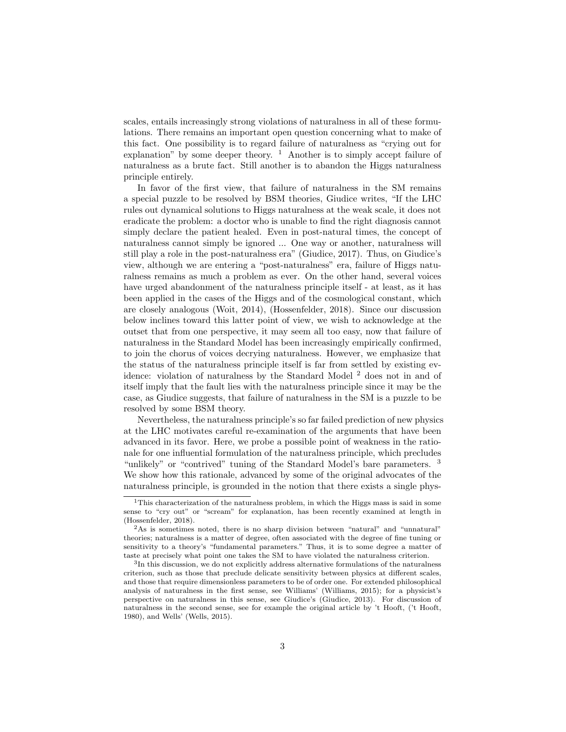scales, entails increasingly strong violations of naturalness in all of these formulations. There remains an important open question concerning what to make of this fact. One possibility is to regard failure of naturalness as "crying out for explanation" by some deeper theory.  $\frac{1}{1}$  Another is to simply accept failure of naturalness as a brute fact. Still another is to abandon the Higgs naturalness principle entirely.

In favor of the first view, that failure of naturalness in the SM remains a special puzzle to be resolved by BSM theories, Giudice writes, "If the LHC rules out dynamical solutions to Higgs naturalness at the weak scale, it does not eradicate the problem: a doctor who is unable to find the right diagnosis cannot simply declare the patient healed. Even in post-natural times, the concept of naturalness cannot simply be ignored ... One way or another, naturalness will still play a role in the post-naturalness era" (Giudice, 2017). Thus, on Giudice's view, although we are entering a "post-naturalness" era, failure of Higgs naturalness remains as much a problem as ever. On the other hand, several voices have urged abandonment of the naturalness principle itself - at least, as it has been applied in the cases of the Higgs and of the cosmological constant, which are closely analogous (Woit, 2014), (Hossenfelder, 2018). Since our discussion below inclines toward this latter point of view, we wish to acknowledge at the outset that from one perspective, it may seem all too easy, now that failure of naturalness in the Standard Model has been increasingly empirically confirmed, to join the chorus of voices decrying naturalness. However, we emphasize that the status of the naturalness principle itself is far from settled by existing evidence: violation of naturalness by the Standard Model <sup>2</sup> does not in and of itself imply that the fault lies with the naturalness principle since it may be the case, as Giudice suggests, that failure of naturalness in the SM is a puzzle to be resolved by some BSM theory.

Nevertheless, the naturalness principle's so far failed prediction of new physics at the LHC motivates careful re-examination of the arguments that have been advanced in its favor. Here, we probe a possible point of weakness in the rationale for one influential formulation of the naturalness principle, which precludes "unlikely" or "contrived" tuning of the Standard Model's bare parameters. <sup>3</sup> We show how this rationale, advanced by some of the original advocates of the naturalness principle, is grounded in the notion that there exists a single phys-

<sup>&</sup>lt;sup>1</sup>This characterization of the naturalness problem, in which the Higgs mass is said in some sense to "cry out" or "scream" for explanation, has been recently examined at length in (Hossenfelder, 2018).

<sup>2</sup>As is sometimes noted, there is no sharp division between "natural" and "unnatural" theories; naturalness is a matter of degree, often associated with the degree of fine tuning or sensitivity to a theory's "fundamental parameters." Thus, it is to some degree a matter of taste at precisely what point one takes the SM to have violated the naturalness criterion.

<sup>&</sup>lt;sup>3</sup>In this discussion, we do not explicitly address alternative formulations of the naturalness criterion, such as those that preclude delicate sensitivity between physics at different scales, and those that require dimensionless parameters to be of order one. For extended philosophical analysis of naturalness in the first sense, see Williams' (Williams, 2015); for a physicist's perspective on naturalness in this sense, see Giudice's (Giudice, 2013). For discussion of naturalness in the second sense, see for example the original article by 't Hooft, ('t Hooft, 1980), and Wells' (Wells, 2015).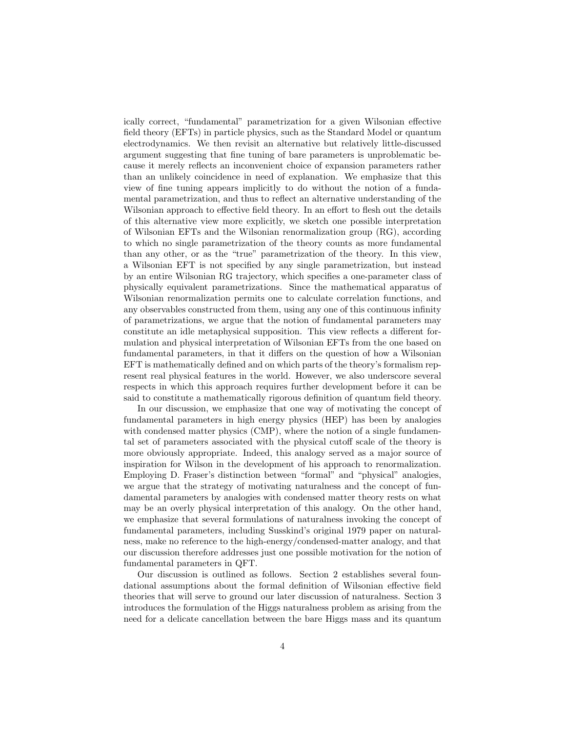ically correct, "fundamental" parametrization for a given Wilsonian effective field theory (EFTs) in particle physics, such as the Standard Model or quantum electrodynamics. We then revisit an alternative but relatively little-discussed argument suggesting that fine tuning of bare parameters is unproblematic because it merely reflects an inconvenient choice of expansion parameters rather than an unlikely coincidence in need of explanation. We emphasize that this view of fine tuning appears implicitly to do without the notion of a fundamental parametrization, and thus to reflect an alternative understanding of the Wilsonian approach to effective field theory. In an effort to flesh out the details of this alternative view more explicitly, we sketch one possible interpretation of Wilsonian EFTs and the Wilsonian renormalization group (RG), according to which no single parametrization of the theory counts as more fundamental than any other, or as the "true" parametrization of the theory. In this view, a Wilsonian EFT is not specified by any single parametrization, but instead by an entire Wilsonian RG trajectory, which specifies a one-parameter class of physically equivalent parametrizations. Since the mathematical apparatus of Wilsonian renormalization permits one to calculate correlation functions, and any observables constructed from them, using any one of this continuous infinity of parametrizations, we argue that the notion of fundamental parameters may constitute an idle metaphysical supposition. This view reflects a different formulation and physical interpretation of Wilsonian EFTs from the one based on fundamental parameters, in that it differs on the question of how a Wilsonian EFT is mathematically defined and on which parts of the theory's formalism represent real physical features in the world. However, we also underscore several respects in which this approach requires further development before it can be said to constitute a mathematically rigorous definition of quantum field theory.

In our discussion, we emphasize that one way of motivating the concept of fundamental parameters in high energy physics (HEP) has been by analogies with condensed matter physics (CMP), where the notion of a single fundamental set of parameters associated with the physical cutoff scale of the theory is more obviously appropriate. Indeed, this analogy served as a major source of inspiration for Wilson in the development of his approach to renormalization. Employing D. Fraser's distinction between "formal" and "physical" analogies, we argue that the strategy of motivating naturalness and the concept of fundamental parameters by analogies with condensed matter theory rests on what may be an overly physical interpretation of this analogy. On the other hand, we emphasize that several formulations of naturalness invoking the concept of fundamental parameters, including Susskind's original 1979 paper on naturalness, make no reference to the high-energy/condensed-matter analogy, and that our discussion therefore addresses just one possible motivation for the notion of fundamental parameters in QFT.

Our discussion is outlined as follows. Section 2 establishes several foundational assumptions about the formal definition of Wilsonian effective field theories that will serve to ground our later discussion of naturalness. Section 3 introduces the formulation of the Higgs naturalness problem as arising from the need for a delicate cancellation between the bare Higgs mass and its quantum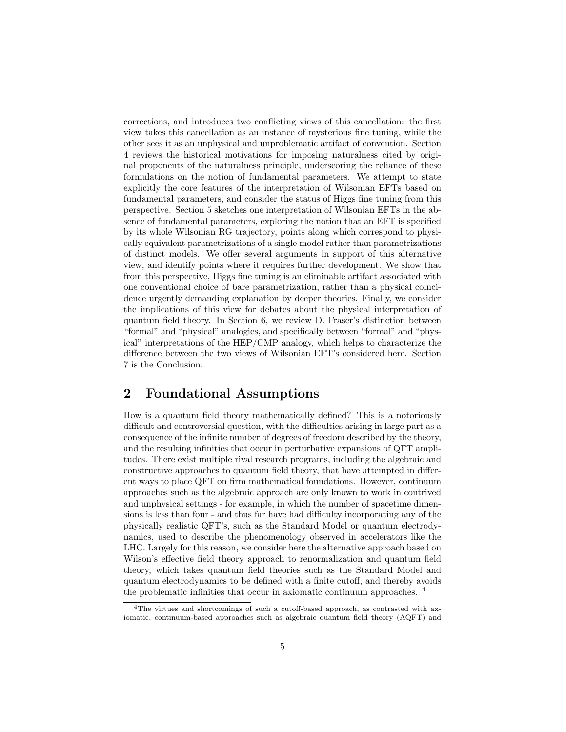corrections, and introduces two conflicting views of this cancellation: the first view takes this cancellation as an instance of mysterious fine tuning, while the other sees it as an unphysical and unproblematic artifact of convention. Section 4 reviews the historical motivations for imposing naturalness cited by original proponents of the naturalness principle, underscoring the reliance of these formulations on the notion of fundamental parameters. We attempt to state explicitly the core features of the interpretation of Wilsonian EFTs based on fundamental parameters, and consider the status of Higgs fine tuning from this perspective. Section 5 sketches one interpretation of Wilsonian EFTs in the absence of fundamental parameters, exploring the notion that an EFT is specified by its whole Wilsonian RG trajectory, points along which correspond to physically equivalent parametrizations of a single model rather than parametrizations of distinct models. We offer several arguments in support of this alternative view, and identify points where it requires further development. We show that from this perspective, Higgs fine tuning is an eliminable artifact associated with one conventional choice of bare parametrization, rather than a physical coincidence urgently demanding explanation by deeper theories. Finally, we consider the implications of this view for debates about the physical interpretation of quantum field theory. In Section 6, we review D. Fraser's distinction between "formal" and "physical" analogies, and specifically between "formal" and "physical" interpretations of the HEP/CMP analogy, which helps to characterize the difference between the two views of Wilsonian EFT's considered here. Section 7 is the Conclusion.

### 2 Foundational Assumptions

How is a quantum field theory mathematically defined? This is a notoriously difficult and controversial question, with the difficulties arising in large part as a consequence of the infinite number of degrees of freedom described by the theory, and the resulting infinities that occur in perturbative expansions of QFT amplitudes. There exist multiple rival research programs, including the algebraic and constructive approaches to quantum field theory, that have attempted in different ways to place QFT on firm mathematical foundations. However, continuum approaches such as the algebraic approach are only known to work in contrived and unphysical settings - for example, in which the number of spacetime dimensions is less than four - and thus far have had difficulty incorporating any of the physically realistic QFT's, such as the Standard Model or quantum electrodynamics, used to describe the phenomenology observed in accelerators like the LHC. Largely for this reason, we consider here the alternative approach based on Wilson's effective field theory approach to renormalization and quantum field theory, which takes quantum field theories such as the Standard Model and quantum electrodynamics to be defined with a finite cutoff, and thereby avoids the problematic infinities that occur in axiomatic continuum approaches. <sup>4</sup>

<sup>4</sup>The virtues and shortcomings of such a cutoff-based approach, as contrasted with axiomatic, continuum-based approaches such as algebraic quantum field theory (AQFT) and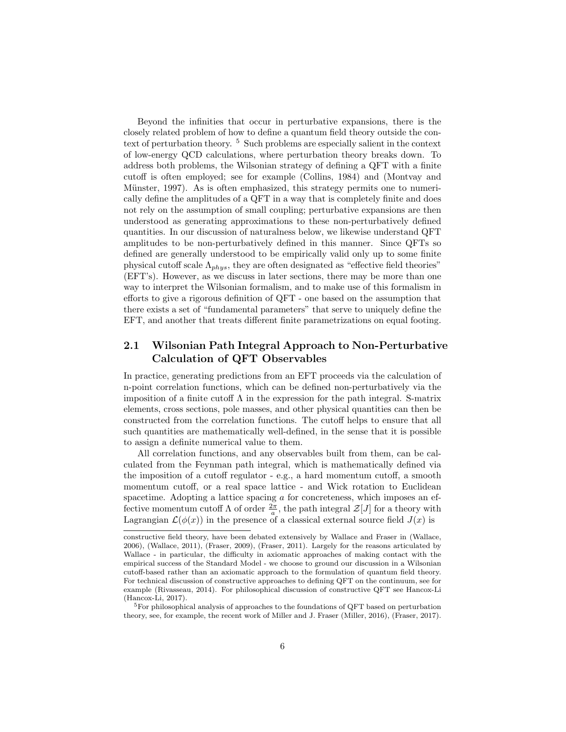Beyond the infinities that occur in perturbative expansions, there is the closely related problem of how to define a quantum field theory outside the context of perturbation theory. <sup>5</sup> Such problems are especially salient in the context of low-energy QCD calculations, where perturbation theory breaks down. To address both problems, the Wilsonian strategy of defining a QFT with a finite cutoff is often employed; see for example (Collins, 1984) and (Montvay and Münster, 1997). As is often emphasized, this strategy permits one to numerically define the amplitudes of a QFT in a way that is completely finite and does not rely on the assumption of small coupling; perturbative expansions are then understood as generating approximations to these non-perturbatively defined quantities. In our discussion of naturalness below, we likewise understand QFT amplitudes to be non-perturbatively defined in this manner. Since QFTs so defined are generally understood to be empirically valid only up to some finite physical cutoff scale  $\Lambda_{phys}$ , they are often designated as "effective field theories" (EFT's). However, as we discuss in later sections, there may be more than one way to interpret the Wilsonian formalism, and to make use of this formalism in efforts to give a rigorous definition of QFT - one based on the assumption that there exists a set of "fundamental parameters" that serve to uniquely define the EFT, and another that treats different finite parametrizations on equal footing.

### 2.1 Wilsonian Path Integral Approach to Non-Perturbative Calculation of QFT Observables

In practice, generating predictions from an EFT proceeds via the calculation of n-point correlation functions, which can be defined non-perturbatively via the imposition of a finite cutoff  $\Lambda$  in the expression for the path integral. S-matrix elements, cross sections, pole masses, and other physical quantities can then be constructed from the correlation functions. The cutoff helps to ensure that all such quantities are mathematically well-defined, in the sense that it is possible to assign a definite numerical value to them.

All correlation functions, and any observables built from them, can be calculated from the Feynman path integral, which is mathematically defined via the imposition of a cutoff regulator - e.g., a hard momentum cutoff, a smooth momentum cutoff, or a real space lattice - and Wick rotation to Euclidean spacetime. Adopting a lattice spacing a for concreteness, which imposes an effective momentum cutoff  $\Lambda$  of order  $\frac{2\pi}{a}$ , the path integral  $\mathcal{Z}[J]$  for a theory with Lagrangian  $\mathcal{L}(\phi(x))$  in the presence of a classical external source field  $J(x)$  is

constructive field theory, have been debated extensively by Wallace and Fraser in (Wallace, 2006), (Wallace, 2011), (Fraser, 2009), (Fraser, 2011). Largely for the reasons articulated by Wallace - in particular, the difficulty in axiomatic approaches of making contact with the empirical success of the Standard Model - we choose to ground our discussion in a Wilsonian cutoff-based rather than an axiomatic approach to the formulation of quantum field theory. For technical discussion of constructive approaches to defining QFT on the continuum, see for example (Rivasseau, 2014). For philosophical discussion of constructive QFT see Hancox-Li (Hancox-Li, 2017).

<sup>&</sup>lt;sup>5</sup>For philosophical analysis of approaches to the foundations of QFT based on perturbation theory, see, for example, the recent work of Miller and J. Fraser (Miller, 2016), (Fraser, 2017).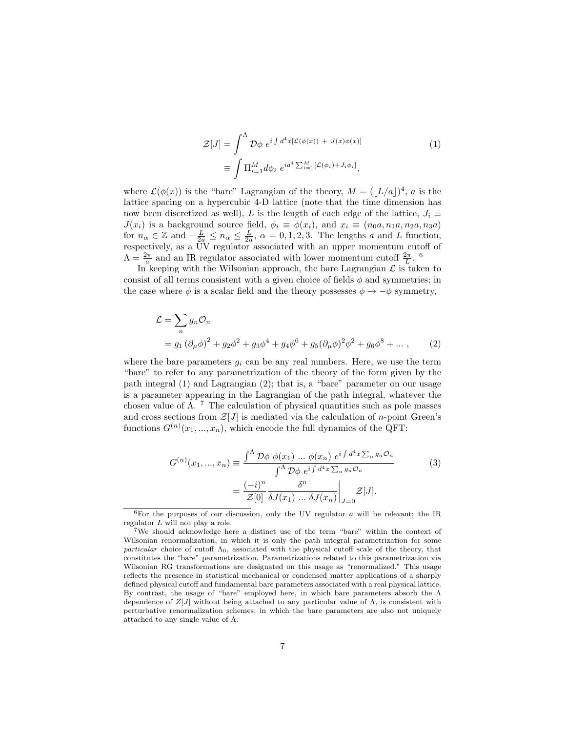$$
\mathcal{Z}[J] = \int^{\Lambda} \mathcal{D}\phi \ e^{i \int d^4x [\mathcal{L}(\phi(x)) + J(x)\phi(x)]}
$$
\n
$$
\equiv \int \Pi_{i=1}^{M} d\phi_i \ e^{ia^4 \sum_{i=1}^{M} [\mathcal{L}(\phi_i) + J_i\phi_i]},
$$
\n(1)

where  $\mathcal{L}(\phi(x))$  is the "bare" Lagrangian of the theory,  $M = (|L/a|)^4$ , a is the lattice spacing on a hypercubic 4-D lattice (note that the time dimension has now been discretized as well), L is the length of each edge of the lattice,  $J_i \equiv$  $J(x_i)$  is a background source field,  $\phi_i \equiv \phi(x_i)$ , and  $x_i \equiv (n_0a, n_1a, n_2a, n_3a)$ for  $n_{\alpha} \in \mathbb{Z}$  and  $-\frac{L}{2a} \leq n_{\alpha} \leq \frac{L}{2a}$ ,  $\alpha = 0, 1, 2, 3$ . The lengths a and L function, respectively, as a UV regulator associated with an upper momentum cutoff of  $\Lambda = \frac{2\pi}{a}$  and an IR regulator associated with lower momentum cutoff  $\frac{2\pi}{L}$ . <sup>6</sup>

In keeping with the Wilsonian approach, the bare Lagrangian  $\mathcal L$  is taken to consist of all terms consistent with a given choice of fields  $\phi$  and symmetries; in the case where  $\phi$  is a scalar field and the theory possesses  $\phi \to -\phi$  symmetry,

$$
\mathcal{L} = \sum_{n} g_n \mathcal{O}_n
$$
  
=  $g_1 (\partial_\mu \phi)^2 + g_2 \phi^2 + g_3 \phi^4 + g_4 \phi^6 + g_5 (\partial_\mu \phi)^2 \phi^2 + g_6 \phi^8 + \dots,$  (2)

where the bare parameters  $g_i$  can be any real numbers. Here, we use the term "bare" to refer to any parametrization of the theory of the form given by the path integral (1) and Lagrangian (2); that is, a "bare" parameter on our usage is a parameter appearing in the Lagrangian of the path integral, whatever the chosen value of  $\Lambda$ . <sup>7</sup> The calculation of physical quantities such as pole masses and cross sections from  $\mathcal{Z}[J]$  is mediated via the calculation of *n*-point Green's functions  $G^{(n)}(x_1, ..., x_n)$ , which encode the full dynamics of the QFT:

$$
G^{(n)}(x_1, ..., x_n) \equiv \frac{\int^{\Lambda} \mathcal{D}\phi \ \phi(x_1) \ \dots \ \phi(x_n) \ e^{i \int d^4 x \sum_n g_n \mathcal{O}_n}}{\int^{\Lambda} \mathcal{D}\phi \ e^{i \int d^4 x \sum_n g_n \mathcal{O}_n}} \tag{3}
$$

$$
= \frac{(-i)^n}{\mathcal{Z}[0]} \frac{\delta^n}{\delta J(x_1) \ \dots \ \delta J(x_n)} \Big|_{J=0} \mathcal{Z}[J].
$$

 ${}^{6}$ For the purposes of our discussion, only the UV regulator  $a$  will be relevant; the IR regulator L will not play a role.

<sup>7</sup>We should acknowledge here a distinct use of the term "bare" within the context of Wilsonian renormalization, in which it is only the path integral parametrization for some particular choice of cutoff  $\Lambda_0$ , associated with the physical cutoff scale of the theory, that constitutes the "bare" parametrization. Parametrizations related to this parametrization via Wilsonian RG transformations are designated on this usage as "renormalized." This usage reflects the presence in statistical mechanical or condensed matter applications of a sharply defined physical cutoff and fundamental bare parameters associated with a real physical lattice. By contrast, the usage of "bare" employed here, in which bare parameters absorb the  $\Lambda$ dependence of  $Z[J]$  without being attached to any particular value of  $\Lambda$ , is consistent with perturbative renormalization schemes, in which the bare parameters are also not uniquely attached to any single value of Λ.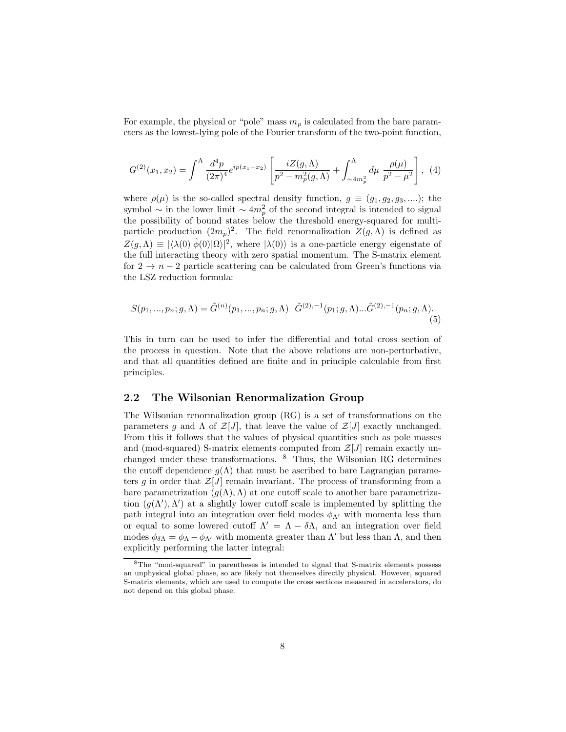For example, the physical or "pole" mass  $m_p$  is calculated from the bare parameters as the lowest-lying pole of the Fourier transform of the two-point function,

$$
G^{(2)}(x_1, x_2) = \int^{\Lambda} \frac{d^4 p}{(2\pi)^4} e^{ip(x_1 - x_2)} \left[ \frac{iZ(g, \Lambda)}{p^2 - m_p^2(g, \Lambda)} + \int^{\Lambda}_{\sim 4m_p^2} d\mu \frac{\rho(\mu)}{p^2 - \mu^2} \right], \tag{4}
$$

where  $\rho(\mu)$  is the so-called spectral density function,  $g \equiv (g_1, g_2, g_3, \dots)$ ; the symbol  $\sim$  in the lower limit  $\sim 4m_p^2$  of the second integral is intended to signal the possibility of bound states below the threshold energy-squared for multiparticle production  $(2m_p)^2$ . The field renormalization  $Z(g,\Lambda)$  is defined as  $Z(g,\Lambda) \equiv |\langle \lambda(0)|\hat{\phi}(0)|\Omega\rangle|^2$ , where  $|\lambda(0)\rangle$  is a one-particle energy eigenstate of the full interacting theory with zero spatial momentum. The S-matrix element for  $2 \rightarrow n-2$  particle scattering can be calculated from Green's functions via the LSZ reduction formula:

$$
S(p_1, ..., p_n; g, \Lambda) = \tilde{G}^{(n)}(p_1, ..., p_n; g, \Lambda) \quad \tilde{G}^{(2), -1}(p_1; g, \Lambda) \dots \tilde{G}^{(2), -1}(p_n; g, \Lambda).
$$
\n(5)

This in turn can be used to infer the differential and total cross section of the process in question. Note that the above relations are non-perturbative, and that all quantities defined are finite and in principle calculable from first principles.

### 2.2 The Wilsonian Renormalization Group

The Wilsonian renormalization group (RG) is a set of transformations on the parameters g and  $\Lambda$  of  $\mathcal{Z}[J]$ , that leave the value of  $\mathcal{Z}[J]$  exactly unchanged. From this it follows that the values of physical quantities such as pole masses and (mod-squared) S-matrix elements computed from  $\mathcal{Z}[J]$  remain exactly unchanged under these transformations. <sup>8</sup> Thus, the Wilsonian RG determines the cutoff dependence  $q(\Lambda)$  that must be ascribed to bare Lagrangian parameters g in order that  $\mathcal{Z}[J]$  remain invariant. The process of transforming from a bare parametrization  $(g(\Lambda), \Lambda)$  at one cutoff scale to another bare parametrization  $(g(\Lambda'), \Lambda')$  at a slightly lower cutoff scale is implemented by splitting the path integral into an integration over field modes  $\phi_{\Lambda}$  with momenta less than or equal to some lowered cutoff  $\Lambda' = \Lambda - \delta \Lambda$ , and an integration over field modes  $\phi_{\delta\Lambda} = \phi_{\Lambda} - \phi_{\Lambda'}$  with momenta greater than  $\Lambda'$  but less than  $\Lambda$ , and then explicitly performing the latter integral:

<sup>8</sup>The "mod-squared" in parentheses is intended to signal that S-matrix elements possess an unphysical global phase, so are likely not themselves directly physical. However, squared S-matrix elements, which are used to compute the cross sections measured in accelerators, do not depend on this global phase.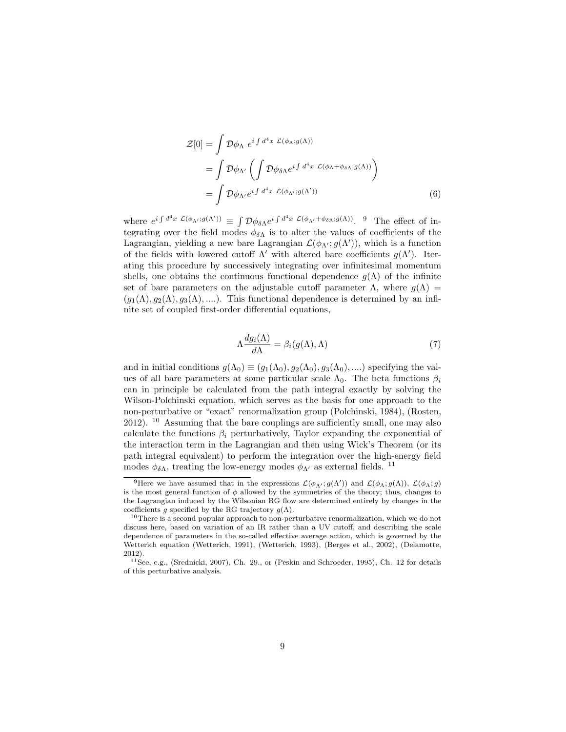$$
\mathcal{Z}[0] = \int \mathcal{D}\phi_{\Lambda} e^{i \int d^4x \mathcal{L}(\phi_{\Lambda};g(\Lambda))}
$$
  
= 
$$
\int \mathcal{D}\phi_{\Lambda'} \left( \int \mathcal{D}\phi_{\delta\Lambda} e^{i \int d^4x \mathcal{L}(\phi_{\Lambda} + \phi_{\delta\Lambda};g(\Lambda))} \right)
$$
  
= 
$$
\int \mathcal{D}\phi_{\Lambda'} e^{i \int d^4x \mathcal{L}(\phi_{\Lambda'};g(\Lambda'))}
$$
(6)

where  $e^{i \int d^4x \mathcal{L}(\phi_{\Lambda'};g(\Lambda'))} \equiv \int \mathcal{D}\phi_{\delta\Lambda}e^{i \int d^4x \mathcal{L}(\phi_{\Lambda'}+\phi_{\delta\Lambda};g(\Lambda))}$ . 9 The effect of integrating over the field modes  $\phi_{\delta\Lambda}$  is to alter the values of coefficients of the Lagrangian, yielding a new bare Lagrangian  $\mathcal{L}(\phi_{\Lambda'}, g(\Lambda'))$ , which is a function of the fields with lowered cutoff  $\Lambda'$  with altered bare coefficients  $g(\Lambda')$ . Iterating this procedure by successively integrating over infinitesimal momentum shells, one obtains the continuous functional dependence  $g(\Lambda)$  of the infinite set of bare parameters on the adjustable cutoff parameter  $\Lambda$ , where  $q(\Lambda)$  =  $(g_1(\Lambda), g_2(\Lambda), g_3(\Lambda), \ldots)$ . This functional dependence is determined by an infinite set of coupled first-order differential equations,

$$
\Lambda \frac{dg_i(\Lambda)}{d\Lambda} = \beta_i(g(\Lambda), \Lambda) \tag{7}
$$

and in initial conditions  $g(\Lambda_0) \equiv (g_1(\Lambda_0), g_2(\Lambda_0), g_3(\Lambda_0), \dots)$  specifying the values of all bare parameters at some particular scale  $\Lambda_0$ . The beta functions  $\beta_i$ can in principle be calculated from the path integral exactly by solving the Wilson-Polchinski equation, which serves as the basis for one approach to the non-perturbative or "exact" renormalization group (Polchinski, 1984), (Rosten, 2012). <sup>10</sup> Assuming that the bare couplings are sufficiently small, one may also calculate the functions  $\beta_i$  perturbatively, Taylor expanding the exponential of the interaction term in the Lagrangian and then using Wick's Theorem (or its path integral equivalent) to perform the integration over the high-energy field modes  $\phi_{\delta\Lambda}$ , treating the low-energy modes  $\phi_{\Lambda'}$  as external fields. <sup>11</sup>

<sup>&</sup>lt;sup>9</sup>Here we have assumed that in the expressions  $\mathcal{L}(\phi_{\Lambda'}; g(\Lambda'))$  and  $\mathcal{L}(\phi_{\Lambda}; g(\Lambda))$ ,  $\mathcal{L}(\phi_{\Lambda}; g)$ is the most general function of  $\phi$  allowed by the symmetries of the theory; thus, changes to the Lagrangian induced by the Wilsonian RG flow are determined entirely by changes in the coefficients g specified by the RG trajectory  $q(\Lambda)$ .

<sup>&</sup>lt;sup>10</sup>There is a second popular approach to non-perturbative renormalization, which we do not discuss here, based on variation of an IR rather than a UV cutoff, and describing the scale dependence of parameters in the so-called effective average action, which is governed by the Wetterich equation (Wetterich, 1991), (Wetterich, 1993), (Berges et al., 2002), (Delamotte, 2012).

 $11$ See, e.g., (Srednicki, 2007), Ch. 29., or (Peskin and Schroeder, 1995), Ch. 12 for details of this perturbative analysis.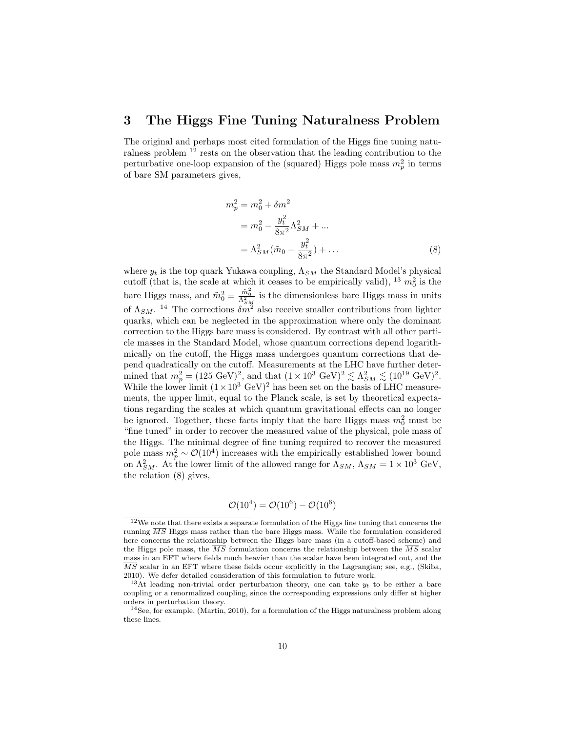### 3 The Higgs Fine Tuning Naturalness Problem

The original and perhaps most cited formulation of the Higgs fine tuning naturalness problem <sup>12</sup> rests on the observation that the leading contribution to the perturbative one-loop expansion of the (squared) Higgs pole mass  $m_p^2$  in terms of bare SM parameters gives,

$$
m_p^2 = m_0^2 + \delta m^2
$$
  
=  $m_0^2 - \frac{y_t^2}{8\pi^2} \Lambda_{SM}^2 + ...$   
=  $\Lambda_{SM}^2 (\tilde{m}_0 - \frac{y_t^2}{8\pi^2}) + ...$  (8)

where  $y_t$  is the top quark Yukawa coupling,  $\Lambda_{SM}$  the Standard Model's physical cutoff (that is, the scale at which it ceases to be empirically valid), <sup>13</sup>  $m_0^2$  is the bare Higgs mass, and  $\tilde{m}_0^2 \equiv \frac{\tilde{m}_0^2}{\Lambda_{SM}^2}$  is the dimensionless bare Higgs mass in units of  $\Lambda_{SM}$ . <sup>14</sup> The corrections  $\delta m^2$  also receive smaller contributions from lighter quarks, which can be neglected in the approximation where only the dominant correction to the Higgs bare mass is considered. By contrast with all other particle masses in the Standard Model, whose quantum corrections depend logarithmically on the cutoff, the Higgs mass undergoes quantum corrections that depend quadratically on the cutoff. Measurements at the LHC have further determined that  $m_p^2 = (125 \text{ GeV})^2$ , and that  $(1 \times 10^3 \text{ GeV})^2 \lesssim \Lambda_{SM}^2 \lesssim (10^{19} \text{ GeV})^2$ . While the lower limit  $(1 \times 10^3 \text{ GeV})^2$  has been set on the basis of LHC measurements, the upper limit, equal to the Planck scale, is set by theoretical expectations regarding the scales at which quantum gravitational effects can no longer be ignored. Together, these facts imply that the bare Higgs mass  $m_0^2$  must be "fine tuned" in order to recover the measured value of the physical, pole mass of the Higgs. The minimal degree of fine tuning required to recover the measured pole mass  $m_p^2 \sim \mathcal{O}(10^4)$  increases with the empirically established lower bound on  $\Lambda_{SM}^2$ . At the lower limit of the allowed range for  $\Lambda_{SM}$ ,  $\Lambda_{SM} = 1 \times 10^3$  GeV, the relation (8) gives,

$$
\mathcal{O}(10^4) = \mathcal{O}(10^6) - \mathcal{O}(10^6)
$$

 $^{12}\mathrm{We}$  note that there exists a separate formulation of the Higgs fine tuning that concerns the running  $\overline{MS}$  Higgs mass rather than the bare Higgs mass. While the formulation considered here concerns the relationship between the Higgs bare mass (in a cutoff-based scheme) and the Higgs pole mass, the  $\overline{MS}$  formulation concerns the relationship between the  $\overline{MS}$  scalar mass in an EFT where fields much heavier than the scalar have been integrated out, and the  $\overline{MS}$  scalar in an EFT where these fields occur explicitly in the Lagrangian; see, e.g., (Skiba, 2010). We defer detailed consideration of this formulation to future work.

<sup>&</sup>lt;sup>13</sup>At leading non-trivial order perturbation theory, one can take  $y_t$  to be either a bare coupling or a renormalized coupling, since the corresponding expressions only differ at higher orders in perturbation theory.

<sup>&</sup>lt;sup>14</sup>See, for example, (Martin, 2010), for a formulation of the Higgs naturalness problem along these lines.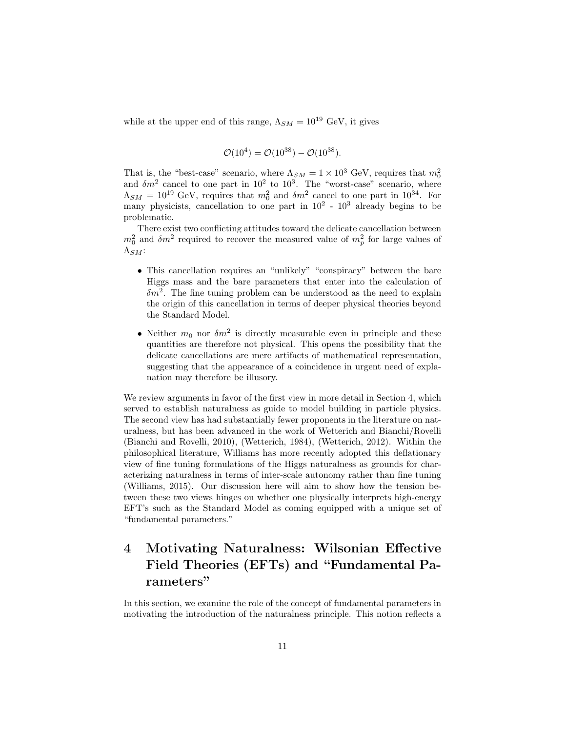while at the upper end of this range,  $\Lambda_{SM} = 10^{19}$  GeV, it gives

$$
\mathcal{O}(10^4) = \mathcal{O}(10^{38}) - \mathcal{O}(10^{38}).
$$

That is, the "best-case" scenario, where  $\Lambda_{SM} = 1 \times 10^3$  GeV, requires that  $m_0^2$ and  $\delta m^2$  cancel to one part in 10<sup>2</sup> to 10<sup>3</sup>. The "worst-case" scenario, where  $\Lambda_{SM} = 10^{19}$  GeV, requires that  $m_0^2$  and  $\delta m^2$  cancel to one part in  $10^{34}$ . For many physicists, cancellation to one part in  $10^2$  -  $10^3$  already begins to be problematic.

There exist two conflicting attitudes toward the delicate cancellation between  $m_0^2$  and  $\delta m^2$  required to recover the measured value of  $m_p^2$  for large values of  $\Lambda_{SM}$ :

- This cancellation requires an "unlikely" "conspiracy" between the bare Higgs mass and the bare parameters that enter into the calculation of  $\delta m^2$ . The fine tuning problem can be understood as the need to explain the origin of this cancellation in terms of deeper physical theories beyond the Standard Model.
- Neither  $m_0$  nor  $\delta m^2$  is directly measurable even in principle and these quantities are therefore not physical. This opens the possibility that the delicate cancellations are mere artifacts of mathematical representation, suggesting that the appearance of a coincidence in urgent need of explanation may therefore be illusory.

We review arguments in favor of the first view in more detail in Section 4, which served to establish naturalness as guide to model building in particle physics. The second view has had substantially fewer proponents in the literature on naturalness, but has been advanced in the work of Wetterich and Bianchi/Rovelli (Bianchi and Rovelli, 2010), (Wetterich, 1984), (Wetterich, 2012). Within the philosophical literature, Williams has more recently adopted this deflationary view of fine tuning formulations of the Higgs naturalness as grounds for characterizing naturalness in terms of inter-scale autonomy rather than fine tuning (Williams, 2015). Our discussion here will aim to show how the tension between these two views hinges on whether one physically interprets high-energy EFT's such as the Standard Model as coming equipped with a unique set of "fundamental parameters."

# 4 Motivating Naturalness: Wilsonian Effective Field Theories (EFTs) and "Fundamental Parameters"

In this section, we examine the role of the concept of fundamental parameters in motivating the introduction of the naturalness principle. This notion reflects a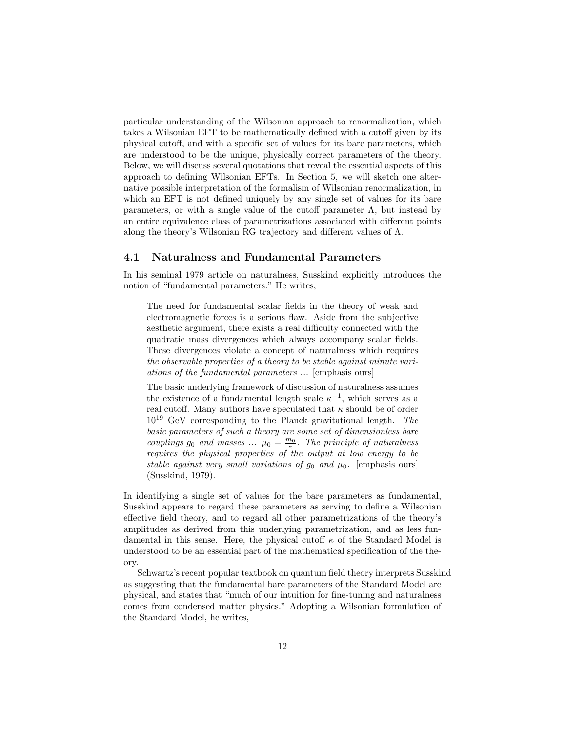particular understanding of the Wilsonian approach to renormalization, which takes a Wilsonian EFT to be mathematically defined with a cutoff given by its physical cutoff, and with a specific set of values for its bare parameters, which are understood to be the unique, physically correct parameters of the theory. Below, we will discuss several quotations that reveal the essential aspects of this approach to defining Wilsonian EFTs. In Section 5, we will sketch one alternative possible interpretation of the formalism of Wilsonian renormalization, in which an EFT is not defined uniquely by any single set of values for its bare parameters, or with a single value of the cutoff parameter  $\Lambda$ , but instead by an entire equivalence class of parametrizations associated with different points along the theory's Wilsonian RG trajectory and different values of Λ.

### 4.1 Naturalness and Fundamental Parameters

In his seminal 1979 article on naturalness, Susskind explicitly introduces the notion of "fundamental parameters." He writes,

The need for fundamental scalar fields in the theory of weak and electromagnetic forces is a serious flaw. Aside from the subjective aesthetic argument, there exists a real difficulty connected with the quadratic mass divergences which always accompany scalar fields. These divergences violate a concept of naturalness which requires the observable properties of a theory to be stable against minute variations of the fundamental parameters ... [emphasis ours]

The basic underlying framework of discussion of naturalness assumes the existence of a fundamental length scale  $\kappa^{-1}$ , which serves as a real cutoff. Many authors have speculated that  $\kappa$  should be of order  $10^{19}$  GeV corresponding to the Planck gravitational length. The basic parameters of such a theory are some set of dimensionless bare couplings  $g_0$  and masses ...  $\mu_0 = \frac{m_0}{\kappa}$ . The principle of naturalness requires the physical properties of the output at low energy to be stable against very small variations of  $g_0$  and  $\mu_0$ . [emphasis ours] (Susskind, 1979).

In identifying a single set of values for the bare parameters as fundamental, Susskind appears to regard these parameters as serving to define a Wilsonian effective field theory, and to regard all other parametrizations of the theory's amplitudes as derived from this underlying parametrization, and as less fundamental in this sense. Here, the physical cutoff  $\kappa$  of the Standard Model is understood to be an essential part of the mathematical specification of the theory.

Schwartz's recent popular textbook on quantum field theory interprets Susskind as suggesting that the fundamental bare parameters of the Standard Model are physical, and states that "much of our intuition for fine-tuning and naturalness comes from condensed matter physics." Adopting a Wilsonian formulation of the Standard Model, he writes,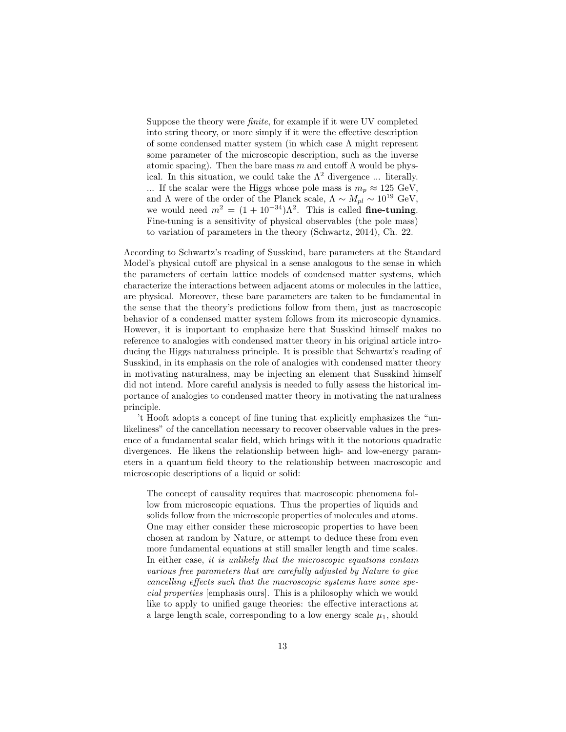Suppose the theory were finite, for example if it were UV completed into string theory, or more simply if it were the effective description of some condensed matter system (in which case Λ might represent some parameter of the microscopic description, such as the inverse atomic spacing). Then the bare mass m and cutoff  $\Lambda$  would be physical. In this situation, we could take the  $\Lambda^2$  divergence ... literally. ... If the scalar were the Higgs whose pole mass is  $m_p \approx 125 \text{ GeV}$ , and  $\Lambda$  were of the order of the Planck scale,  $\Lambda \sim M_{pl} \sim 10^{19}$  GeV, we would need  $m^2 = (1 + 10^{-34})\Lambda^2$ . This is called fine-tuning. Fine-tuning is a sensitivity of physical observables (the pole mass) to variation of parameters in the theory (Schwartz, 2014), Ch. 22.

According to Schwartz's reading of Susskind, bare parameters at the Standard Model's physical cutoff are physical in a sense analogous to the sense in which the parameters of certain lattice models of condensed matter systems, which characterize the interactions between adjacent atoms or molecules in the lattice, are physical. Moreover, these bare parameters are taken to be fundamental in the sense that the theory's predictions follow from them, just as macroscopic behavior of a condensed matter system follows from its microscopic dynamics. However, it is important to emphasize here that Susskind himself makes no reference to analogies with condensed matter theory in his original article introducing the Higgs naturalness principle. It is possible that Schwartz's reading of Susskind, in its emphasis on the role of analogies with condensed matter theory in motivating naturalness, may be injecting an element that Susskind himself did not intend. More careful analysis is needed to fully assess the historical importance of analogies to condensed matter theory in motivating the naturalness principle.

't Hooft adopts a concept of fine tuning that explicitly emphasizes the "unlikeliness" of the cancellation necessary to recover observable values in the presence of a fundamental scalar field, which brings with it the notorious quadratic divergences. He likens the relationship between high- and low-energy parameters in a quantum field theory to the relationship between macroscopic and microscopic descriptions of a liquid or solid:

The concept of causality requires that macroscopic phenomena follow from microscopic equations. Thus the properties of liquids and solids follow from the microscopic properties of molecules and atoms. One may either consider these microscopic properties to have been chosen at random by Nature, or attempt to deduce these from even more fundamental equations at still smaller length and time scales. In either case, it is unlikely that the microscopic equations contain various free parameters that are carefully adjusted by Nature to give cancelling effects such that the macroscopic systems have some special properties [emphasis ours]. This is a philosophy which we would like to apply to unified gauge theories: the effective interactions at a large length scale, corresponding to a low energy scale  $\mu_1$ , should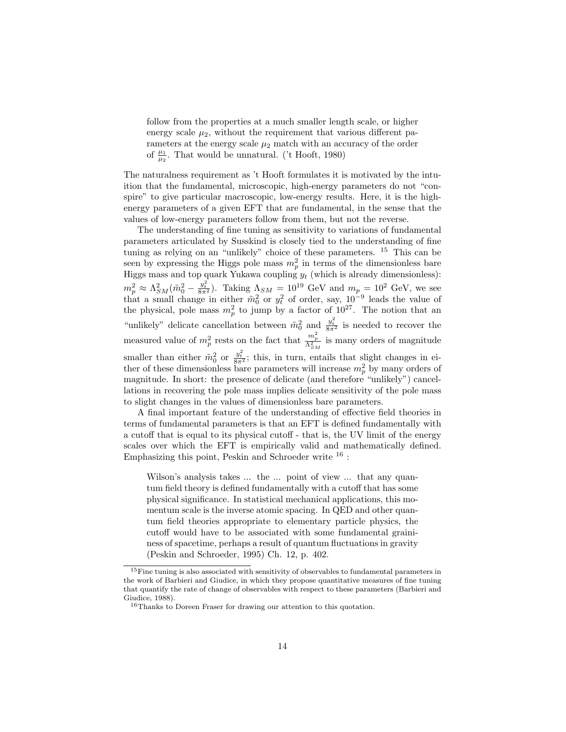follow from the properties at a much smaller length scale, or higher energy scale  $\mu_2$ , without the requirement that various different parameters at the energy scale  $\mu_2$  match with an accuracy of the order of  $\frac{\mu_1}{\mu_2}$ . That would be unnatural. ('t Hooft, 1980)

The naturalness requirement as 't Hooft formulates it is motivated by the intuition that the fundamental, microscopic, high-energy parameters do not "conspire" to give particular macroscopic, low-energy results. Here, it is the highenergy parameters of a given EFT that are fundamental, in the sense that the values of low-energy parameters follow from them, but not the reverse.

The understanding of fine tuning as sensitivity to variations of fundamental parameters articulated by Susskind is closely tied to the understanding of fine tuning as relying on an "unlikely" choice of these parameters. <sup>15</sup> This can be seen by expressing the Higgs pole mass  $m_p^2$  in terms of the dimensionless bare Higgs mass and top quark Yukawa coupling  $y_t$  (which is already dimensionless):  $m_p^2 \approx \Lambda_{SM}^2(\tilde{m}_0^2 - \frac{y_t^2}{8\pi^2})$ . Taking  $\Lambda_{SM} = 10^{19}$  GeV and  $m_p = 10^2$  GeV, we see that a small change in either  $\tilde{m}_0^2$  or  $y_t^2$  of order, say,  $10^{-9}$  leads the value of the physical, pole mass  $m_p^2$  to jump by a factor of  $10^{27}$ . The notion that an "unlikely" delicate cancellation between  $\tilde{m}_0^2$  and  $\frac{y_t^2}{8\pi^2}$  is needed to recover the measured value of  $m_p^2$  rests on the fact that  $\frac{m_p^2}{\Lambda_{SM}^2}$  is many orders of magnitude smaller than either  $\tilde{m}_0^2$  or  $\frac{y_t^2}{8\pi^2}$ ; this, in turn, entails that slight changes in either of these dimensionless bare parameters will increase  $m_p^2$  by many orders of magnitude. In short: the presence of delicate (and therefore "unlikely") cancellations in recovering the pole mass implies delicate sensitivity of the pole mass to slight changes in the values of dimensionless bare parameters.

A final important feature of the understanding of effective field theories in terms of fundamental parameters is that an EFT is defined fundamentally with a cutoff that is equal to its physical cutoff - that is, the UV limit of the energy scales over which the EFT is empirically valid and mathematically defined. Emphasizing this point, Peskin and Schroeder write  $16$ :

Wilson's analysis takes ... the ... point of view ... that any quantum field theory is defined fundamentally with a cutoff that has some physical significance. In statistical mechanical applications, this momentum scale is the inverse atomic spacing. In QED and other quantum field theories appropriate to elementary particle physics, the cutoff would have to be associated with some fundamental graininess of spacetime, perhaps a result of quantum fluctuations in gravity (Peskin and Schroeder, 1995) Ch. 12, p. 402.

<sup>15</sup>Fine tuning is also associated with sensitivity of observables to fundamental parameters in the work of Barbieri and Giudice, in which they propose quantitative measures of fine tuning that quantify the rate of change of observables with respect to these parameters (Barbieri and Giudice, 1988).

<sup>16</sup>Thanks to Doreen Fraser for drawing our attention to this quotation.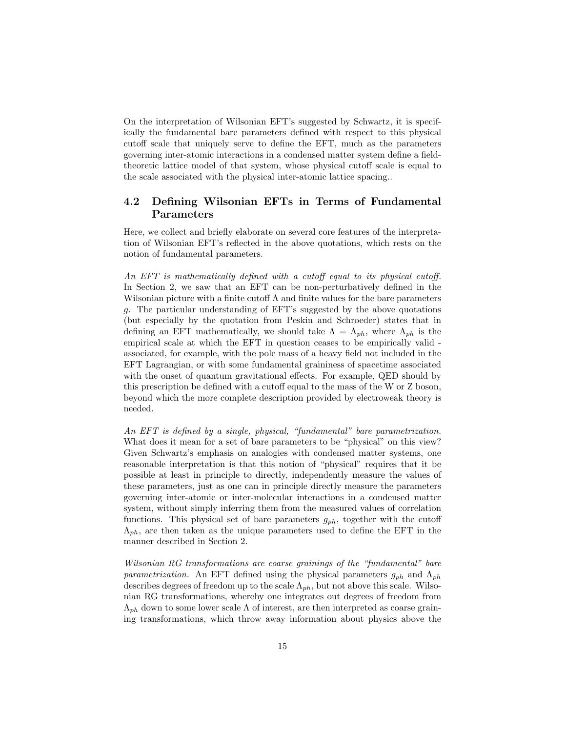On the interpretation of Wilsonian EFT's suggested by Schwartz, it is specifically the fundamental bare parameters defined with respect to this physical cutoff scale that uniquely serve to define the EFT, much as the parameters governing inter-atomic interactions in a condensed matter system define a fieldtheoretic lattice model of that system, whose physical cutoff scale is equal to the scale associated with the physical inter-atomic lattice spacing..

### 4.2 Defining Wilsonian EFTs in Terms of Fundamental Parameters

Here, we collect and briefly elaborate on several core features of the interpretation of Wilsonian EFT's reflected in the above quotations, which rests on the notion of fundamental parameters.

An EFT is mathematically defined with a cutoff equal to its physical cutoff. In Section 2, we saw that an EFT can be non-perturbatively defined in the Wilsonian picture with a finite cutoff  $\Lambda$  and finite values for the bare parameters g. The particular understanding of EFT's suggested by the above quotations (but especially by the quotation from Peskin and Schroeder) states that in defining an EFT mathematically, we should take  $\Lambda = \Lambda_{ph}$ , where  $\Lambda_{ph}$  is the empirical scale at which the EFT in question ceases to be empirically valid associated, for example, with the pole mass of a heavy field not included in the EFT Lagrangian, or with some fundamental graininess of spacetime associated with the onset of quantum gravitational effects. For example, QED should by this prescription be defined with a cutoff equal to the mass of the W or Z boson, beyond which the more complete description provided by electroweak theory is needed.

An EFT is defined by a single, physical, "fundamental" bare parametrization. What does it mean for a set of bare parameters to be "physical" on this view? Given Schwartz's emphasis on analogies with condensed matter systems, one reasonable interpretation is that this notion of "physical" requires that it be possible at least in principle to directly, independently measure the values of these parameters, just as one can in principle directly measure the parameters governing inter-atomic or inter-molecular interactions in a condensed matter system, without simply inferring them from the measured values of correlation functions. This physical set of bare parameters  $g_{ph}$ , together with the cutoff  $\Lambda_{ph}$ , are then taken as the unique parameters used to define the EFT in the manner described in Section 2.

Wilsonian RG transformations are coarse grainings of the "fundamental" bare parametrization. An EFT defined using the physical parameters  $g_{ph}$  and  $\Lambda_{ph}$ describes degrees of freedom up to the scale  $\Lambda_{ph}$ , but not above this scale. Wilsonian RG transformations, whereby one integrates out degrees of freedom from  $\Lambda_{ph}$  down to some lower scale  $\Lambda$  of interest, are then interpreted as coarse graining transformations, which throw away information about physics above the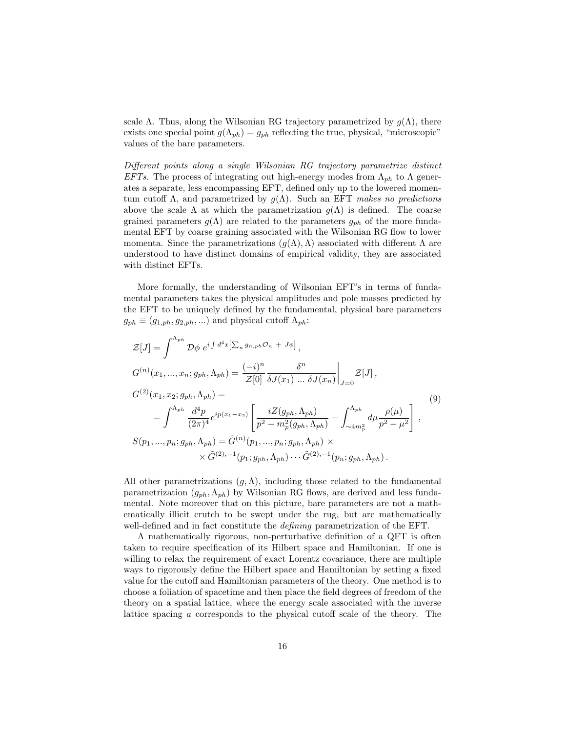scale Λ. Thus, along the Wilsonian RG trajectory parametrized by  $g(\Lambda)$ , there exists one special point  $g(\Lambda_{ph}) = g_{ph}$  reflecting the true, physical, "microscopic" values of the bare parameters.

Different points along a single Wilsonian RG trajectory parametrize distinct EFTs. The process of integrating out high-energy modes from  $\Lambda_{ph}$  to  $\Lambda$  generates a separate, less encompassing EFT, defined only up to the lowered momentum cutoff  $\Lambda$ , and parametrized by  $g(\Lambda)$ . Such an EFT makes no predictions above the scale  $\Lambda$  at which the parametrization  $g(\Lambda)$  is defined. The coarse grained parameters  $g(\Lambda)$  are related to the parameters  $g_{ph}$  of the more fundamental EFT by coarse graining associated with the Wilsonian RG flow to lower momenta. Since the parametrizations  $(g(\Lambda), \Lambda)$  associated with different  $\Lambda$  are understood to have distinct domains of empirical validity, they are associated with distinct EFTs.

More formally, the understanding of Wilsonian EFT's in terms of fundamental parameters takes the physical amplitudes and pole masses predicted by the EFT to be uniquely defined by the fundamental, physical bare parameters  $g_{ph} \equiv (g_{1,ph}, g_{2,ph}, ...)$  and physical cutoff  $\Lambda_{ph}$ :

$$
\mathcal{Z}[J] = \int^{\Lambda_{ph}} \mathcal{D}\phi \ e^{i \int d^4x \left[\sum_n g_{n,ph} \mathcal{O}_n + J\phi\right]},
$$
  
\n
$$
G^{(n)}(x_1, ..., x_n; g_{ph}, \Lambda_{ph}) = \frac{(-i)^n}{\mathcal{Z}[0]} \frac{\delta^n}{\delta J(x_1) ... \delta J(x_n)} \Big|_{J=0} \mathcal{Z}[J],
$$
  
\n
$$
G^{(2)}(x_1, x_2; g_{ph}, \Lambda_{ph}) =
$$
  
\n
$$
= \int^{\Lambda_{ph}} \frac{d^4p}{(2\pi)^4} e^{ip(x_1 - x_2)} \left[\frac{iZ(g_{ph}, \Lambda_{ph})}{p^2 - m_p^2(g_{ph}, \Lambda_{ph})} + \int_{\sim 4m_p^2}^{\Lambda_{ph}} d\mu \frac{\rho(\mu)}{p^2 - \mu^2}\right],
$$
  
\n
$$
S(p_1, ..., p_n; g_{ph}, \Lambda_{ph}) = \tilde{G}^{(n)}(p_1, ..., p_n; g_{ph}, \Lambda_{ph}) \times
$$
  
\n
$$
\times \tilde{G}^{(2), -1}(p_1; g_{ph}, \Lambda_{ph}) \cdots \tilde{G}^{(2), -1}(p_n; g_{ph}, \Lambda_{ph}).
$$
\n(9)

All other parametrizations  $(g, \Lambda)$ , including those related to the fundamental parametrization  $(g_{ph}, \Lambda_{ph})$  by Wilsonian RG flows, are derived and less fundamental. Note moreover that on this picture, bare parameters are not a mathematically illicit crutch to be swept under the rug, but are mathematically well-defined and in fact constitute the *defining* parametrization of the EFT.

A mathematically rigorous, non-perturbative definition of a QFT is often taken to require specification of its Hilbert space and Hamiltonian. If one is willing to relax the requirement of exact Lorentz covariance, there are multiple ways to rigorously define the Hilbert space and Hamiltonian by setting a fixed value for the cutoff and Hamiltonian parameters of the theory. One method is to choose a foliation of spacetime and then place the field degrees of freedom of the theory on a spatial lattice, where the energy scale associated with the inverse lattice spacing a corresponds to the physical cutoff scale of the theory. The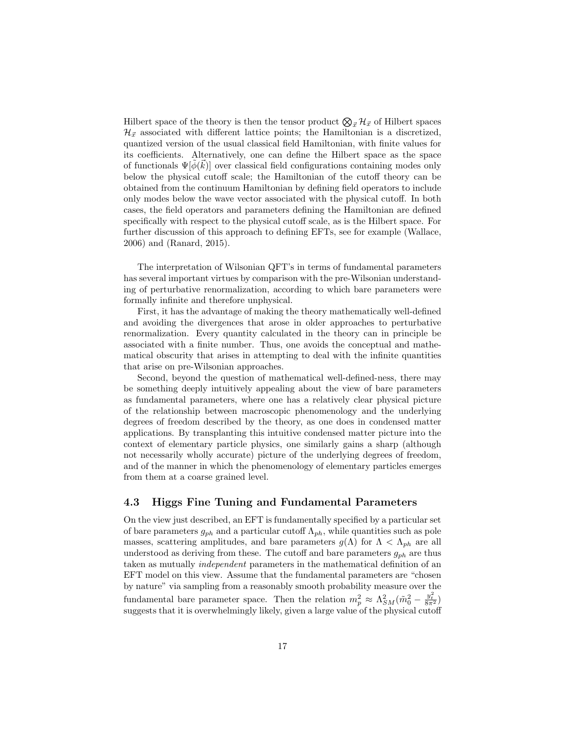Hilbert space of the theory is then the tensor product  $\bigotimes_{\vec{x}}\mathcal{H}_{\vec{x}}$  of Hilbert spaces  $\mathcal{H}_{\vec{x}}$  associated with different lattice points; the Hamiltonian is a discretized, quantized version of the usual classical field Hamiltonian, with finite values for its coefficients. Alternatively, one can define the Hilbert space as the space of functionals  $\Psi[\phi(\vec{k})]$  over classical field configurations containing modes only below the physical cutoff scale; the Hamiltonian of the cutoff theory can be obtained from the continuum Hamiltonian by defining field operators to include only modes below the wave vector associated with the physical cutoff. In both cases, the field operators and parameters defining the Hamiltonian are defined specifically with respect to the physical cutoff scale, as is the Hilbert space. For further discussion of this approach to defining EFTs, see for example (Wallace, 2006) and (Ranard, 2015).

The interpretation of Wilsonian QFT's in terms of fundamental parameters has several important virtues by comparison with the pre-Wilsonian understanding of perturbative renormalization, according to which bare parameters were formally infinite and therefore unphysical.

First, it has the advantage of making the theory mathematically well-defined and avoiding the divergences that arose in older approaches to perturbative renormalization. Every quantity calculated in the theory can in principle be associated with a finite number. Thus, one avoids the conceptual and mathematical obscurity that arises in attempting to deal with the infinite quantities that arise on pre-Wilsonian approaches.

Second, beyond the question of mathematical well-defined-ness, there may be something deeply intuitively appealing about the view of bare parameters as fundamental parameters, where one has a relatively clear physical picture of the relationship between macroscopic phenomenology and the underlying degrees of freedom described by the theory, as one does in condensed matter applications. By transplanting this intuitive condensed matter picture into the context of elementary particle physics, one similarly gains a sharp (although not necessarily wholly accurate) picture of the underlying degrees of freedom, and of the manner in which the phenomenology of elementary particles emerges from them at a coarse grained level.

### 4.3 Higgs Fine Tuning and Fundamental Parameters

On the view just described, an EFT is fundamentally specified by a particular set of bare parameters  $g_{ph}$  and a particular cutoff  $\Lambda_{ph}$ , while quantities such as pole masses, scattering amplitudes, and bare parameters  $g(\Lambda)$  for  $\Lambda < \Lambda_{ph}$  are all understood as deriving from these. The cutoff and bare parameters  $g_{ph}$  are thus taken as mutually independent parameters in the mathematical definition of an EFT model on this view. Assume that the fundamental parameters are "chosen by nature" via sampling from a reasonably smooth probability measure over the fundamental bare parameter space. Then the relation  $m_p^2 \approx \Lambda_{SM}^2(\tilde{m}_0^2 - \frac{y_t^2}{8\pi^2})$ suggests that it is overwhelmingly likely, given a large value of the physical cutoff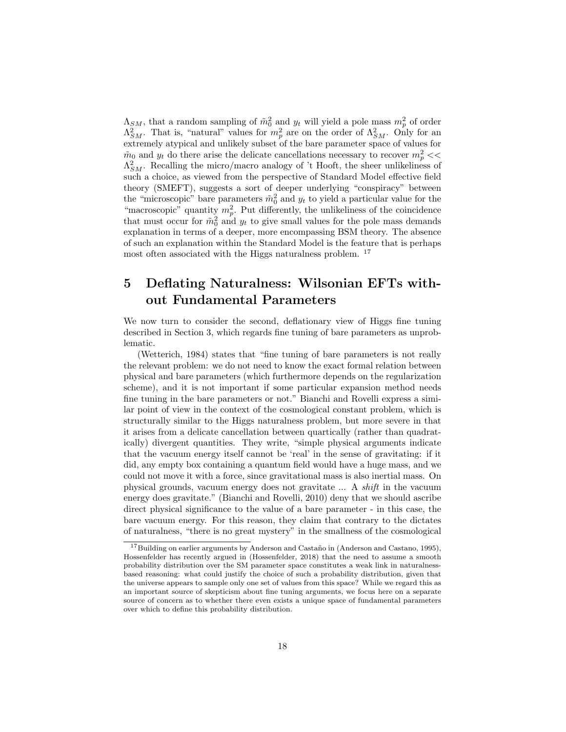$\Lambda_{SM}$ , that a random sampling of  $\tilde{m}_0^2$  and  $y_t$  will yield a pole mass  $m_p^2$  of order  $\Lambda_{SM}^2$ . That is, "natural" values for  $m_p^2$  are on the order of  $\Lambda_{SM}^2$ . Only for an extremely atypical and unlikely subset of the bare parameter space of values for  $\tilde{m}_0$  and  $y_t$  do there arise the delicate cancellations necessary to recover  $m_p^2$  <<  $\Lambda_{SM}^2$ . Recalling the micro/macro analogy of 't Hooft, the sheer unlikeliness of such a choice, as viewed from the perspective of Standard Model effective field theory (SMEFT), suggests a sort of deeper underlying "conspiracy" between the "microscopic" bare parameters  $\tilde{m}_0^2$  and  $y_t$  to yield a particular value for the "macroscopic" quantity  $m_p^2$ . Put differently, the unlikeliness of the coincidence that must occur for  $\tilde{m}_0^2$  and  $y_t$  to give small values for the pole mass demands explanation in terms of a deeper, more encompassing BSM theory. The absence of such an explanation within the Standard Model is the feature that is perhaps most often associated with the Higgs naturalness problem. <sup>17</sup>

# 5 Deflating Naturalness: Wilsonian EFTs without Fundamental Parameters

We now turn to consider the second, deflationary view of Higgs fine tuning described in Section 3, which regards fine tuning of bare parameters as unproblematic.

(Wetterich, 1984) states that "fine tuning of bare parameters is not really the relevant problem: we do not need to know the exact formal relation between physical and bare parameters (which furthermore depends on the regularization scheme), and it is not important if some particular expansion method needs fine tuning in the bare parameters or not." Bianchi and Rovelli express a similar point of view in the context of the cosmological constant problem, which is structurally similar to the Higgs naturalness problem, but more severe in that it arises from a delicate cancellation between quartically (rather than quadratically) divergent quantities. They write, "simple physical arguments indicate that the vacuum energy itself cannot be 'real' in the sense of gravitating: if it did, any empty box containing a quantum field would have a huge mass, and we could not move it with a force, since gravitational mass is also inertial mass. On physical grounds, vacuum energy does not gravitate ... A shift in the vacuum energy does gravitate." (Bianchi and Rovelli, 2010) deny that we should ascribe direct physical significance to the value of a bare parameter - in this case, the bare vacuum energy. For this reason, they claim that contrary to the dictates of naturalness, "there is no great mystery" in the smallness of the cosmological

<sup>&</sup>lt;sup>17</sup>Building on earlier arguments by Anderson and Castaño in (Anderson and Castano, 1995), Hossenfelder has recently argued in (Hossenfelder, 2018) that the need to assume a smooth probability distribution over the SM parameter space constitutes a weak link in naturalnessbased reasoning: what could justify the choice of such a probability distribution, given that the universe appears to sample only one set of values from this space? While we regard this as an important source of skepticism about fine tuning arguments, we focus here on a separate source of concern as to whether there even exists a unique space of fundamental parameters over which to define this probability distribution.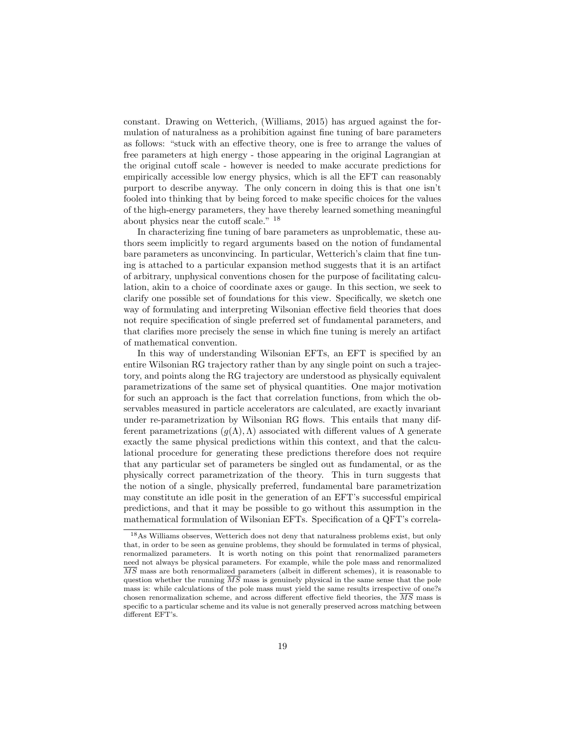constant. Drawing on Wetterich, (Williams, 2015) has argued against the formulation of naturalness as a prohibition against fine tuning of bare parameters as follows: "stuck with an effective theory, one is free to arrange the values of free parameters at high energy - those appearing in the original Lagrangian at the original cutoff scale - however is needed to make accurate predictions for empirically accessible low energy physics, which is all the EFT can reasonably purport to describe anyway. The only concern in doing this is that one isn't fooled into thinking that by being forced to make specific choices for the values of the high-energy parameters, they have thereby learned something meaningful about physics near the cutoff scale." <sup>18</sup>

In characterizing fine tuning of bare parameters as unproblematic, these authors seem implicitly to regard arguments based on the notion of fundamental bare parameters as unconvincing. In particular, Wetterich's claim that fine tuning is attached to a particular expansion method suggests that it is an artifact of arbitrary, unphysical conventions chosen for the purpose of facilitating calculation, akin to a choice of coordinate axes or gauge. In this section, we seek to clarify one possible set of foundations for this view. Specifically, we sketch one way of formulating and interpreting Wilsonian effective field theories that does not require specification of single preferred set of fundamental parameters, and that clarifies more precisely the sense in which fine tuning is merely an artifact of mathematical convention.

In this way of understanding Wilsonian EFTs, an EFT is specified by an entire Wilsonian RG trajectory rather than by any single point on such a trajectory, and points along the RG trajectory are understood as physically equivalent parametrizations of the same set of physical quantities. One major motivation for such an approach is the fact that correlation functions, from which the observables measured in particle accelerators are calculated, are exactly invariant under re-parametrization by Wilsonian RG flows. This entails that many different parametrizations  $(g(\Lambda), \Lambda)$  associated with different values of  $\Lambda$  generate exactly the same physical predictions within this context, and that the calculational procedure for generating these predictions therefore does not require that any particular set of parameters be singled out as fundamental, or as the physically correct parametrization of the theory. This in turn suggests that the notion of a single, physically preferred, fundamental bare parametrization may constitute an idle posit in the generation of an EFT's successful empirical predictions, and that it may be possible to go without this assumption in the mathematical formulation of Wilsonian EFTs. Specification of a QFT's correla-

<sup>18</sup>As Williams observes, Wetterich does not deny that naturalness problems exist, but only that, in order to be seen as genuine problems, they should be formulated in terms of physical, renormalized parameters. It is worth noting on this point that renormalized parameters need not always be physical parameters. For example, while the pole mass and renormalized  $\overline{MS}$  mass are both renormalized parameters (albeit in different schemes), it is reasonable to question whether the running  $\overline{MS}$  mass is genuinely physical in the same sense that the pole mass is: while calculations of the pole mass must yield the same results irrespective of one?s chosen renormalization scheme, and across different effective field theories, the  $\overline{MS}$  mass is specific to a particular scheme and its value is not generally preserved across matching between different EFT's.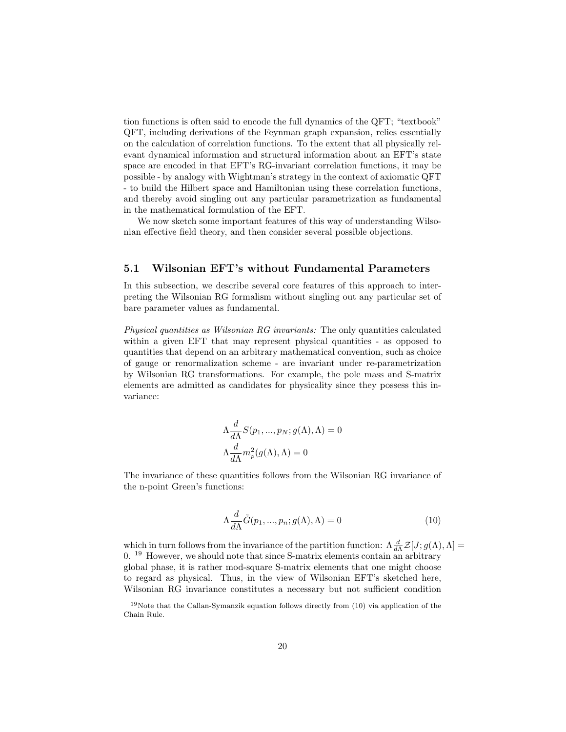tion functions is often said to encode the full dynamics of the QFT; "textbook" QFT, including derivations of the Feynman graph expansion, relies essentially on the calculation of correlation functions. To the extent that all physically relevant dynamical information and structural information about an EFT's state space are encoded in that EFT's RG-invariant correlation functions, it may be possible - by analogy with Wightman's strategy in the context of axiomatic QFT - to build the Hilbert space and Hamiltonian using these correlation functions, and thereby avoid singling out any particular parametrization as fundamental in the mathematical formulation of the EFT.

We now sketch some important features of this way of understanding Wilsonian effective field theory, and then consider several possible objections.

### 5.1 Wilsonian EFT's without Fundamental Parameters

In this subsection, we describe several core features of this approach to interpreting the Wilsonian RG formalism without singling out any particular set of bare parameter values as fundamental.

Physical quantities as Wilsonian RG invariants: The only quantities calculated within a given EFT that may represent physical quantities - as opposed to quantities that depend on an arbitrary mathematical convention, such as choice of gauge or renormalization scheme - are invariant under re-parametrization by Wilsonian RG transformations. For example, the pole mass and S-matrix elements are admitted as candidates for physicality since they possess this invariance:

$$
\begin{aligned} \Lambda \frac{d}{d\Lambda} S(p_1, ..., p_N; g(\Lambda), \Lambda) &= 0 \\ \Lambda \frac{d}{d\Lambda} m_p^2(g(\Lambda), \Lambda) &= 0 \end{aligned}
$$

The invariance of these quantities follows from the Wilsonian RG invariance of the n-point Green's functions:

$$
\Lambda \frac{d}{d\Lambda} \tilde{G}(p_1, ..., p_n; g(\Lambda), \Lambda) = 0
$$
\n(10)

which in turn follows from the invariance of the partition function:  $\Lambda \frac{d}{d\Lambda} \mathcal{Z}[J; g(\Lambda), \Lambda] =$ 0. <sup>19</sup> However, we should note that since S-matrix elements contain an arbitrary global phase, it is rather mod-square S-matrix elements that one might choose to regard as physical. Thus, in the view of Wilsonian EFT's sketched here, Wilsonian RG invariance constitutes a necessary but not sufficient condition

<sup>19</sup>Note that the Callan-Symanzik equation follows directly from (10) via application of the Chain Rule.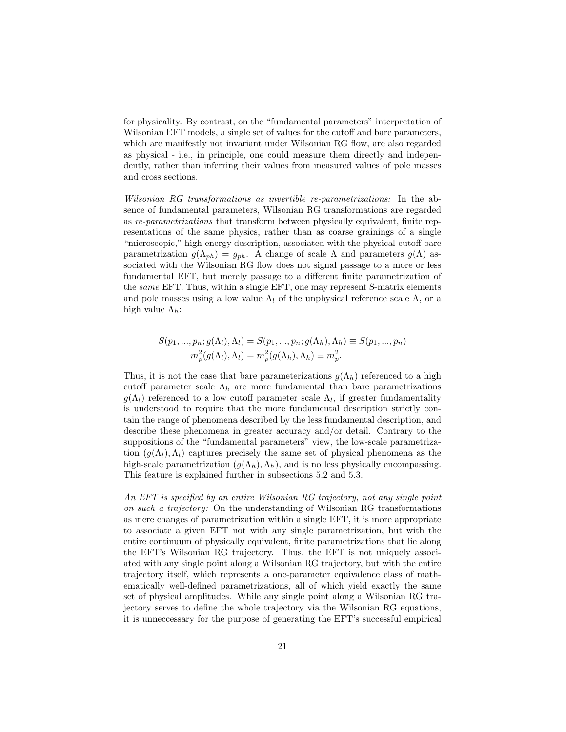for physicality. By contrast, on the "fundamental parameters" interpretation of Wilsonian EFT models, a single set of values for the cutoff and bare parameters, which are manifestly not invariant under Wilsonian RG flow, are also regarded as physical - i.e., in principle, one could measure them directly and independently, rather than inferring their values from measured values of pole masses and cross sections.

Wilsonian RG transformations as invertible re-parametrizations: In the absence of fundamental parameters, Wilsonian RG transformations are regarded as re-parametrizations that transform between physically equivalent, finite representations of the same physics, rather than as coarse grainings of a single "microscopic," high-energy description, associated with the physical-cutoff bare parametrization  $g(\Lambda_{ph}) = g_{ph}$ . A change of scale  $\Lambda$  and parameters  $g(\Lambda)$  associated with the Wilsonian RG flow does not signal passage to a more or less fundamental EFT, but merely passage to a different finite parametrization of the same EFT. Thus, within a single EFT, one may represent S-matrix elements and pole masses using a low value  $\Lambda_l$  of the unphysical reference scale  $\Lambda$ , or a high value  $\Lambda_h$ :

$$
S(p_1, ..., p_n; g(\Lambda_l), \Lambda_l) = S(p_1, ..., p_n; g(\Lambda_h), \Lambda_h) \equiv S(p_1, ..., p_n)
$$
  

$$
m_p^2(g(\Lambda_l), \Lambda_l) = m_p^2(g(\Lambda_h), \Lambda_h) \equiv m_p^2.
$$

Thus, it is not the case that bare parameterizations  $g(\Lambda_h)$  referenced to a high cutoff parameter scale  $\Lambda_h$  are more fundamental than bare parametrizations  $g(\Lambda_l)$  referenced to a low cutoff parameter scale  $\Lambda_l$ , if greater fundamentality is understood to require that the more fundamental description strictly contain the range of phenomena described by the less fundamental description, and describe these phenomena in greater accuracy and/or detail. Contrary to the suppositions of the "fundamental parameters" view, the low-scale parametrization  $(g(\Lambda_l),\Lambda_l)$  captures precisely the same set of physical phenomena as the high-scale parametrization  $(g(\Lambda_h), \Lambda_h)$ , and is no less physically encompassing. This feature is explained further in subsections 5.2 and 5.3.

An EFT is specified by an entire Wilsonian RG trajectory, not any single point on such a trajectory: On the understanding of Wilsonian RG transformations as mere changes of parametrization within a single EFT, it is more appropriate to associate a given EFT not with any single parametrization, but with the entire continuum of physically equivalent, finite parametrizations that lie along the EFT's Wilsonian RG trajectory. Thus, the EFT is not uniquely associated with any single point along a Wilsonian RG trajectory, but with the entire trajectory itself, which represents a one-parameter equivalence class of mathematically well-defined parametrizations, all of which yield exactly the same set of physical amplitudes. While any single point along a Wilsonian RG trajectory serves to define the whole trajectory via the Wilsonian RG equations, it is unneccessary for the purpose of generating the EFT's successful empirical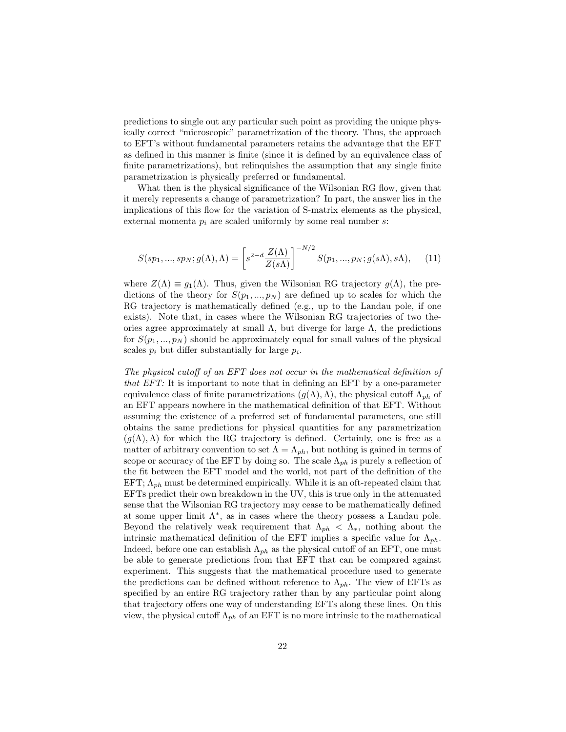predictions to single out any particular such point as providing the unique physically correct "microscopic" parametrization of the theory. Thus, the approach to EFT's without fundamental parameters retains the advantage that the EFT as defined in this manner is finite (since it is defined by an equivalence class of finite parametrizations), but relinquishes the assumption that any single finite parametrization is physically preferred or fundamental.

What then is the physical significance of the Wilsonian RG flow, given that it merely represents a change of parametrization? In part, the answer lies in the implications of this flow for the variation of S-matrix elements as the physical, external momenta  $p_i$  are scaled uniformly by some real number s:

$$
S(sp_1, ..., sp_N; g(\Lambda), \Lambda) = \left[s^{2-d} \frac{Z(\Lambda)}{Z(s\Lambda)}\right]^{-N/2} S(p_1, ..., p_N; g(s\Lambda), s\Lambda), \quad (11)
$$

where  $Z(\Lambda) \equiv g_1(\Lambda)$ . Thus, given the Wilsonian RG trajectory  $g(\Lambda)$ , the predictions of the theory for  $S(p_1, ..., p_N)$  are defined up to scales for which the RG trajectory is mathematically defined (e.g., up to the Landau pole, if one exists). Note that, in cases where the Wilsonian RG trajectories of two theories agree approximately at small  $\Lambda$ , but diverge for large  $\Lambda$ , the predictions for  $S(p_1, ..., p_N)$  should be approximately equal for small values of the physical scales  $p_i$  but differ substantially for large  $p_i$ .

The physical cutoff of an EFT does not occur in the mathematical definition of that EFT: It is important to note that in defining an EFT by a one-parameter equivalence class of finite parametrizations  $(g(\Lambda),\Lambda)$ , the physical cutoff  $\Lambda_{ph}$  of an EFT appears nowhere in the mathematical definition of that EFT. Without assuming the existence of a preferred set of fundamental parameters, one still obtains the same predictions for physical quantities for any parametrization  $(q(\Lambda),\Lambda)$  for which the RG trajectory is defined. Certainly, one is free as a matter of arbitrary convention to set  $\Lambda = \Lambda_{ph}$ , but nothing is gained in terms of scope or accuracy of the EFT by doing so. The scale  $\Lambda_{ph}$  is purely a reflection of the fit between the EFT model and the world, not part of the definition of the EFT;  $\Lambda_{ph}$  must be determined empirically. While it is an oft-repeated claim that EFTs predict their own breakdown in the UV, this is true only in the attenuated sense that the Wilsonian RG trajectory may cease to be mathematically defined at some upper limit  $\Lambda^*$ , as in cases where the theory possess a Landau pole. Beyond the relatively weak requirement that  $\Lambda_{ph} < \Lambda_{\ast}$ , nothing about the intrinsic mathematical definition of the EFT implies a specific value for  $\Lambda_{ph}$ . Indeed, before one can establish  $\Lambda_{ph}$  as the physical cutoff of an EFT, one must be able to generate predictions from that EFT that can be compared against experiment. This suggests that the mathematical procedure used to generate the predictions can be defined without reference to  $\Lambda_{ph}$ . The view of EFTs as specified by an entire RG trajectory rather than by any particular point along that trajectory offers one way of understanding EFTs along these lines. On this view, the physical cutoff  $\Lambda_{ph}$  of an EFT is no more intrinsic to the mathematical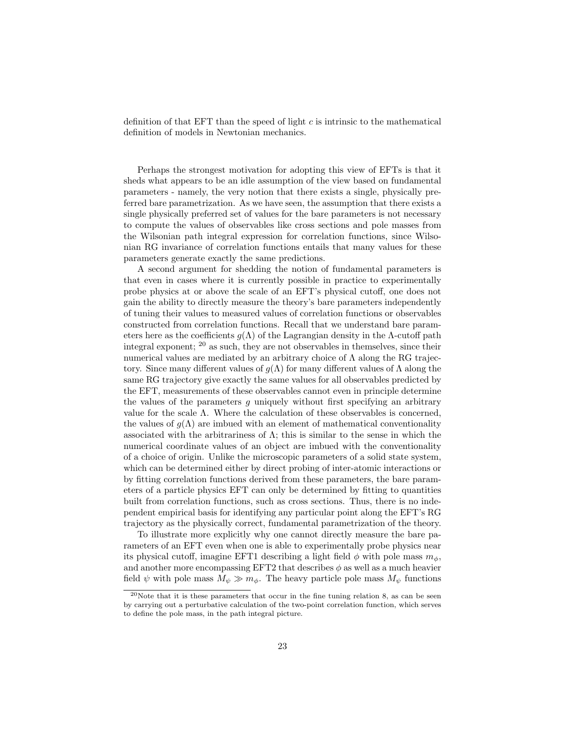definition of that EFT than the speed of light  $c$  is intrinsic to the mathematical definition of models in Newtonian mechanics.

Perhaps the strongest motivation for adopting this view of EFTs is that it sheds what appears to be an idle assumption of the view based on fundamental parameters - namely, the very notion that there exists a single, physically preferred bare parametrization. As we have seen, the assumption that there exists a single physically preferred set of values for the bare parameters is not necessary to compute the values of observables like cross sections and pole masses from the Wilsonian path integral expression for correlation functions, since Wilsonian RG invariance of correlation functions entails that many values for these parameters generate exactly the same predictions.

A second argument for shedding the notion of fundamental parameters is that even in cases where it is currently possible in practice to experimentally probe physics at or above the scale of an EFT's physical cutoff, one does not gain the ability to directly measure the theory's bare parameters independently of tuning their values to measured values of correlation functions or observables constructed from correlation functions. Recall that we understand bare parameters here as the coefficients  $g(\Lambda)$  of the Lagrangian density in the  $\Lambda$ -cutoff path integral exponent; <sup>20</sup> as such, they are not observables in themselves, since their numerical values are mediated by an arbitrary choice of  $\Lambda$  along the RG trajectory. Since many different values of  $g(\Lambda)$  for many different values of  $\Lambda$  along the same RG trajectory give exactly the same values for all observables predicted by the EFT, measurements of these observables cannot even in principle determine the values of the parameters g uniquely without first specifying an arbitrary value for the scale  $\Lambda$ . Where the calculation of these observables is concerned, the values of  $q(\Lambda)$  are imbued with an element of mathematical conventionality associated with the arbitrariness of  $\Lambda$ ; this is similar to the sense in which the numerical coordinate values of an object are imbued with the conventionality of a choice of origin. Unlike the microscopic parameters of a solid state system, which can be determined either by direct probing of inter-atomic interactions or by fitting correlation functions derived from these parameters, the bare parameters of a particle physics EFT can only be determined by fitting to quantities built from correlation functions, such as cross sections. Thus, there is no independent empirical basis for identifying any particular point along the EFT's RG trajectory as the physically correct, fundamental parametrization of the theory.

To illustrate more explicitly why one cannot directly measure the bare parameters of an EFT even when one is able to experimentally probe physics near its physical cutoff, imagine EFT1 describing a light field  $\phi$  with pole mass  $m_{\phi}$ . and another more encompassing EFT2 that describes  $\phi$  as well as a much heavier field  $\psi$  with pole mass  $M_{\psi} \gg m_{\phi}$ . The heavy particle pole mass  $M_{\psi}$  functions

<sup>&</sup>lt;sup>20</sup>Note that it is these parameters that occur in the fine tuning relation 8, as can be seen by carrying out a perturbative calculation of the two-point correlation function, which serves to define the pole mass, in the path integral picture.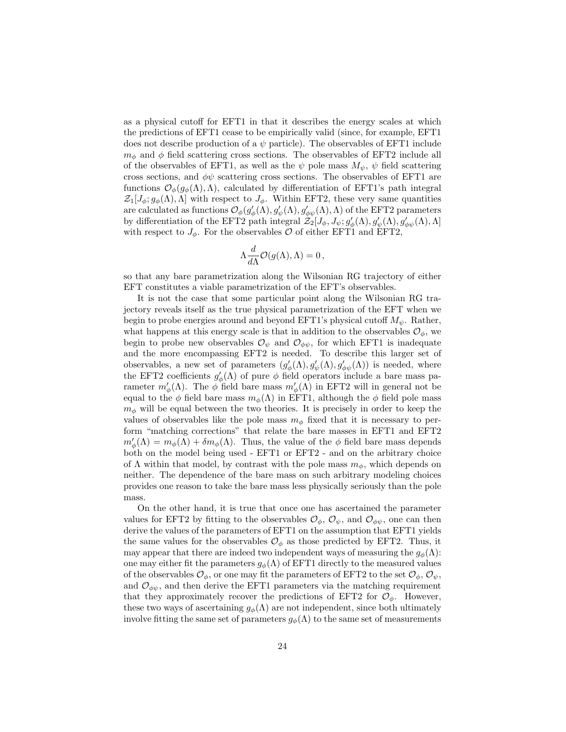as a physical cutoff for EFT1 in that it describes the energy scales at which the predictions of EFT1 cease to be empirically valid (since, for example, EFT1 does not describe production of a  $\psi$  particle). The observables of EFT1 include  $m_{\phi}$  and  $\phi$  field scattering cross sections. The observables of EFT2 include all of the observables of EFT1, as well as the  $\psi$  pole mass  $M_{\psi}$ ,  $\psi$  field scattering cross sections, and  $\phi\psi$  scattering cross sections. The observables of EFT1 are functions  $\mathcal{O}_{\phi}(g_{\phi}(\Lambda),\Lambda)$ , calculated by differentiation of EFT1's path integral  $\mathcal{Z}_1[J_\phi; g_\phi(\Lambda), \Lambda]$  with respect to  $J_\phi$ . Within EFT2, these very same quantities are calculated as functions  $\mathcal{O}_{\phi}(g'_{\phi}(\Lambda), g'_{\psi}(\Lambda), g'_{\phi\psi}(\Lambda), \Lambda)$  of the EFT2 parameters by differentiation of the EFT2 path integral  $\mathcal{Z}_2^r[J_\phi, J_\psi; g'_\phi(\Lambda), g'_\psi(\Lambda), g'_{\phi\psi}(\Lambda), \Lambda]$ with respect to  $J_{\phi}$ . For the observables  $\mathcal{O}$  of either EFT1 and EFT2,

$$
\Lambda \frac{d}{d\Lambda} \mathcal{O}(g(\Lambda), \Lambda) = 0,
$$

so that any bare parametrization along the Wilsonian RG trajectory of either EFT constitutes a viable parametrization of the EFT's observables.

It is not the case that some particular point along the Wilsonian RG trajectory reveals itself as the true physical parametrization of the EFT when we begin to probe energies around and beyond EFT1's physical cutoff  $M_{\psi}$ . Rather, what happens at this energy scale is that in addition to the observables  $\mathcal{O}_{\phi}$ , we begin to probe new observables  $\mathcal{O}_{\psi}$  and  $\mathcal{O}_{\phi\psi}$ , for which EFT1 is inadequate and the more encompassing EFT2 is needed. To describe this larger set of observables, a new set of parameters  $(g'_{\phi}(\Lambda), g'_{\phi}(\Lambda), g'_{\phi\psi}(\Lambda))$  is needed, where the EFT2 coefficients  $g'_{\phi}(\Lambda)$  of pure  $\phi$  field operators include a bare mass parameter  $m'_{\phi}(\Lambda)$ . The  $\phi$  field bare mass  $m'_{\phi}(\Lambda)$  in EFT2 will in general not be equal to the  $\phi$  field bare mass  $m_{\phi}(\Lambda)$  in EFT1, although the  $\phi$  field pole mass  $m_{\phi}$  will be equal between the two theories. It is precisely in order to keep the values of observables like the pole mass  $m_{\phi}$  fixed that it is necessary to perform "matching corrections" that relate the bare masses in EFT1 and EFT2  $m_{\phi}'(\Lambda) = m_{\phi}(\Lambda) + \delta m_{\phi}(\Lambda)$ . Thus, the value of the  $\phi$  field bare mass depends both on the model being used - EFT1 or EFT2 - and on the arbitrary choice of  $\Lambda$  within that model, by contrast with the pole mass  $m_{\phi}$ , which depends on neither. The dependence of the bare mass on such arbitrary modeling choices provides one reason to take the bare mass less physically seriously than the pole mass.

On the other hand, it is true that once one has ascertained the parameter values for EFT2 by fitting to the observables  $\mathcal{O}_{\phi}$ ,  $\mathcal{O}_{\psi}$ , and  $\mathcal{O}_{\phi\psi}$ , one can then derive the values of the parameters of EFT1 on the assumption that EFT1 yields the same values for the observables  $\mathcal{O}_{\phi}$  as those predicted by EFT2. Thus, it may appear that there are indeed two independent ways of measuring the  $g_{\phi}(\Lambda)$ : one may either fit the parameters  $g_{\phi}(\Lambda)$  of EFT1 directly to the measured values of the observables  $\mathcal{O}_{\phi}$ , or one may fit the parameters of EFT2 to the set  $\mathcal{O}_{\phi}$ ,  $\mathcal{O}_{\psi}$ , and  $\mathcal{O}_{\phi\psi}$ , and then derive the EFT1 parameters via the matching requirement that they approximately recover the predictions of EFT2 for  $\mathcal{O}_{\phi}$ . However, these two ways of ascertaining  $g_{\phi}(\Lambda)$  are not independent, since both ultimately involve fitting the same set of parameters  $g_{\phi}(\Lambda)$  to the same set of measurements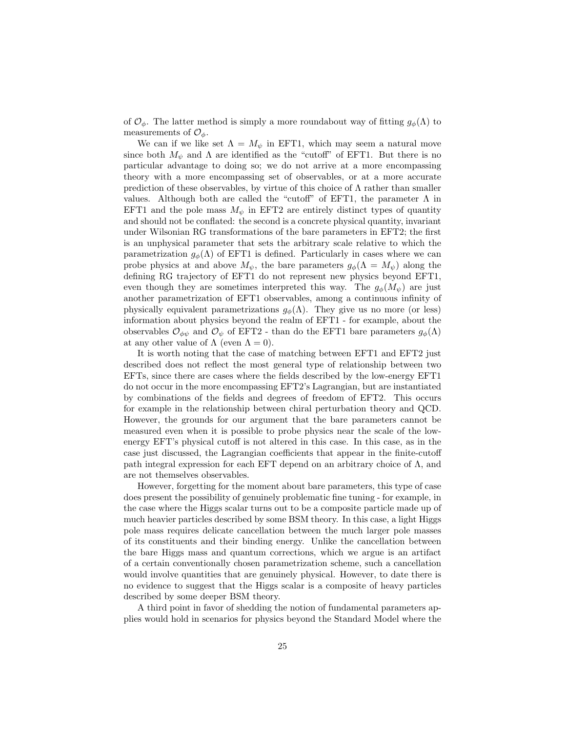of  $\mathcal{O}_{\phi}$ . The latter method is simply a more roundabout way of fitting  $g_{\phi}(\Lambda)$  to measurements of  $\mathcal{O}_{\phi}$ .

We can if we like set  $\Lambda = M_{\psi}$  in EFT1, which may seem a natural move since both  $M_{\psi}$  and  $\Lambda$  are identified as the "cutoff" of EFT1. But there is no particular advantage to doing so; we do not arrive at a more encompassing theory with a more encompassing set of observables, or at a more accurate prediction of these observables, by virtue of this choice of  $\Lambda$  rather than smaller values. Although both are called the "cutoff" of EFT1, the parameter  $\Lambda$  in EFT1 and the pole mass  $M_{\psi}$  in EFT2 are entirely distinct types of quantity and should not be conflated: the second is a concrete physical quantity, invariant under Wilsonian RG transformations of the bare parameters in EFT2; the first is an unphysical parameter that sets the arbitrary scale relative to which the parametrization  $g_{\phi}(\Lambda)$  of EFT1 is defined. Particularly in cases where we can probe physics at and above  $M_{\psi}$ , the bare parameters  $g_{\phi}(\Lambda = M_{\psi})$  along the defining RG trajectory of EFT1 do not represent new physics beyond EFT1, even though they are sometimes interpreted this way. The  $g_{\phi}(M_{\psi})$  are just another parametrization of EFT1 observables, among a continuous infinity of physically equivalent parametrizations  $g_{\phi}(\Lambda)$ . They give us no more (or less) information about physics beyond the realm of EFT1 - for example, about the observables  $\mathcal{O}_{\phi\psi}$  and  $\mathcal{O}_{\psi}$  of EFT2 - than do the EFT1 bare parameters  $g_{\phi}(\Lambda)$ at any other value of  $\Lambda$  (even  $\Lambda = 0$ ).

It is worth noting that the case of matching between EFT1 and EFT2 just described does not reflect the most general type of relationship between two EFTs, since there are cases where the fields described by the low-energy EFT1 do not occur in the more encompassing EFT2's Lagrangian, but are instantiated by combinations of the fields and degrees of freedom of EFT2. This occurs for example in the relationship between chiral perturbation theory and QCD. However, the grounds for our argument that the bare parameters cannot be measured even when it is possible to probe physics near the scale of the lowenergy EFT's physical cutoff is not altered in this case. In this case, as in the case just discussed, the Lagrangian coefficients that appear in the finite-cutoff path integral expression for each EFT depend on an arbitrary choice of  $\Lambda$ , and are not themselves observables.

However, forgetting for the moment about bare parameters, this type of case does present the possibility of genuinely problematic fine tuning - for example, in the case where the Higgs scalar turns out to be a composite particle made up of much heavier particles described by some BSM theory. In this case, a light Higgs pole mass requires delicate cancellation between the much larger pole masses of its constituents and their binding energy. Unlike the cancellation between the bare Higgs mass and quantum corrections, which we argue is an artifact of a certain conventionally chosen parametrization scheme, such a cancellation would involve quantities that are genuinely physical. However, to date there is no evidence to suggest that the Higgs scalar is a composite of heavy particles described by some deeper BSM theory.

A third point in favor of shedding the notion of fundamental parameters applies would hold in scenarios for physics beyond the Standard Model where the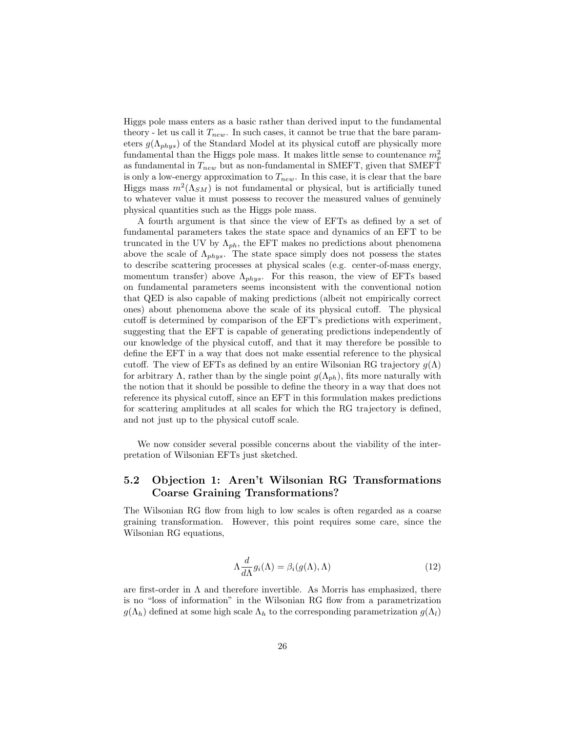Higgs pole mass enters as a basic rather than derived input to the fundamental theory - let us call it  $T_{new}$ . In such cases, it cannot be true that the bare parameters  $g(\Lambda_{phys})$  of the Standard Model at its physical cutoff are physically more fundamental than the Higgs pole mass. It makes little sense to countenance  $m_p^2$ as fundamental in  $T_{new}$  but as non-fundamental in SMEFT, given that SMEFT is only a low-energy approximation to  $T_{new}$ . In this case, it is clear that the bare Higgs mass  $m^2(\Lambda_{SM})$  is not fundamental or physical, but is artificially tuned to whatever value it must possess to recover the measured values of genuinely physical quantities such as the Higgs pole mass.

A fourth argument is that since the view of EFTs as defined by a set of fundamental parameters takes the state space and dynamics of an EFT to be truncated in the UV by  $\Lambda_{ph}$ , the EFT makes no predictions about phenomena above the scale of  $\Lambda_{phys}$ . The state space simply does not possess the states to describe scattering processes at physical scales (e.g. center-of-mass energy, momentum transfer) above  $\Lambda_{phys}$ . For this reason, the view of EFTs based on fundamental parameters seems inconsistent with the conventional notion that QED is also capable of making predictions (albeit not empirically correct ones) about phenomena above the scale of its physical cutoff. The physical cutoff is determined by comparison of the EFT's predictions with experiment, suggesting that the EFT is capable of generating predictions independently of our knowledge of the physical cutoff, and that it may therefore be possible to define the EFT in a way that does not make essential reference to the physical cutoff. The view of EFTs as defined by an entire Wilsonian RG trajectory  $g(\Lambda)$ for arbitrary  $\Lambda$ , rather than by the single point  $g(\Lambda_{ph})$ , fits more naturally with the notion that it should be possible to define the theory in a way that does not reference its physical cutoff, since an EFT in this formulation makes predictions for scattering amplitudes at all scales for which the RG trajectory is defined, and not just up to the physical cutoff scale.

We now consider several possible concerns about the viability of the interpretation of Wilsonian EFTs just sketched.

### 5.2 Objection 1: Aren't Wilsonian RG Transformations Coarse Graining Transformations?

The Wilsonian RG flow from high to low scales is often regarded as a coarse graining transformation. However, this point requires some care, since the Wilsonian RG equations,

$$
\Lambda \frac{d}{d\Lambda} g_i(\Lambda) = \beta_i(g(\Lambda), \Lambda) \tag{12}
$$

are first-order in  $\Lambda$  and therefore invertible. As Morris has emphasized, there is no "loss of information" in the Wilsonian RG flow from a parametrization  $g(\Lambda_h)$  defined at some high scale  $\Lambda_h$  to the corresponding parametrization  $g(\Lambda_l)$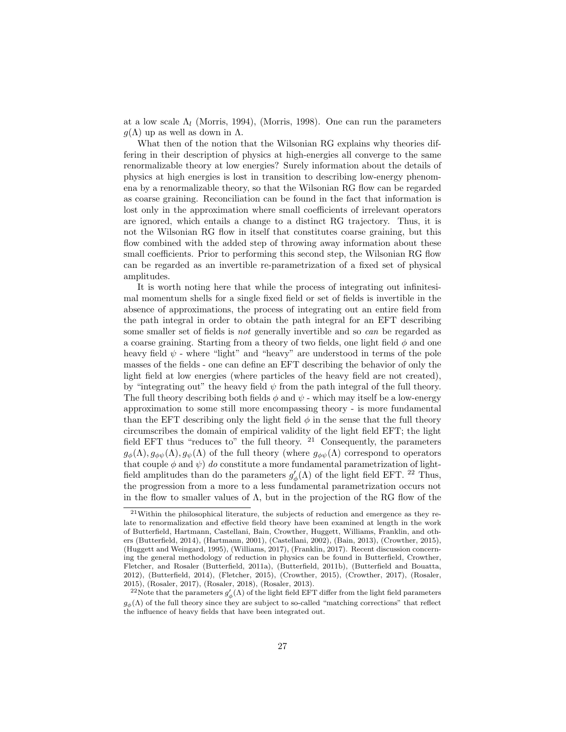at a low scale  $\Lambda_l$  (Morris, 1994), (Morris, 1998). One can run the parameters  $g(\Lambda)$  up as well as down in  $\Lambda$ .

What then of the notion that the Wilsonian RG explains why theories differing in their description of physics at high-energies all converge to the same renormalizable theory at low energies? Surely information about the details of physics at high energies is lost in transition to describing low-energy phenomena by a renormalizable theory, so that the Wilsonian RG flow can be regarded as coarse graining. Reconciliation can be found in the fact that information is lost only in the approximation where small coefficients of irrelevant operators are ignored, which entails a change to a distinct RG trajectory. Thus, it is not the Wilsonian RG flow in itself that constitutes coarse graining, but this flow combined with the added step of throwing away information about these small coefficients. Prior to performing this second step, the Wilsonian RG flow can be regarded as an invertible re-parametrization of a fixed set of physical amplitudes.

It is worth noting here that while the process of integrating out infinitesimal momentum shells for a single fixed field or set of fields is invertible in the absence of approximations, the process of integrating out an entire field from the path integral in order to obtain the path integral for an EFT describing some smaller set of fields is not generally invertible and so can be regarded as a coarse graining. Starting from a theory of two fields, one light field  $\phi$  and one heavy field  $\psi$  - where "light" and "heavy" are understood in terms of the pole masses of the fields - one can define an EFT describing the behavior of only the light field at low energies (where particles of the heavy field are not created), by "integrating out" the heavy field  $\psi$  from the path integral of the full theory. The full theory describing both fields  $\phi$  and  $\psi$  - which may itself be a low-energy approximation to some still more encompassing theory - is more fundamental than the EFT describing only the light field  $\phi$  in the sense that the full theory circumscribes the domain of empirical validity of the light field EFT; the light field EFT thus "reduces to" the full theory.  $21$  Consequently, the parameters  $g_{\phi}(\Lambda), g_{\phi\psi}(\Lambda), g_{\psi}(\Lambda)$  of the full theory (where  $g_{\phi\psi}(\Lambda)$  correspond to operators that couple  $\phi$  and  $\psi$ ) do constitute a more fundamental parametrization of lightfield amplitudes than do the parameters  $g'_{\phi}(\Lambda)$  of the light field EFT. <sup>22</sup> Thus, the progression from a more to a less fundamental parametrization occurs not in the flow to smaller values of  $\Lambda$ , but in the projection of the RG flow of the

 $^{21}\rm{Within}$  the philosophical literature, the subjects of reduction and emergence as they relate to renormalization and effective field theory have been examined at length in the work of Butterfield, Hartmann, Castellani, Bain, Crowther, Huggett, Williams, Franklin, and others (Butterfield, 2014), (Hartmann, 2001), (Castellani, 2002), (Bain, 2013), (Crowther, 2015), (Huggett and Weingard, 1995), (Williams, 2017), (Franklin, 2017). Recent discussion concerning the general methodology of reduction in physics can be found in Butterfield, Crowther, Fletcher, and Rosaler (Butterfield, 2011a), (Butterfield, 2011b), (Butterfield and Bouatta, 2012), (Butterfield, 2014), (Fletcher, 2015), (Crowther, 2015), (Crowther, 2017), (Rosaler, 2015), (Rosaler, 2017), (Rosaler, 2018), (Rosaler, 2013).

<sup>&</sup>lt;sup>22</sup>Note that the parameters  $g'_{\phi}(\Lambda)$  of the light field EFT differ from the light field parameters  $g_{\phi}(\Lambda)$  of the full theory since they are subject to so-called "matching corrections" that reflect the influence of heavy fields that have been integrated out.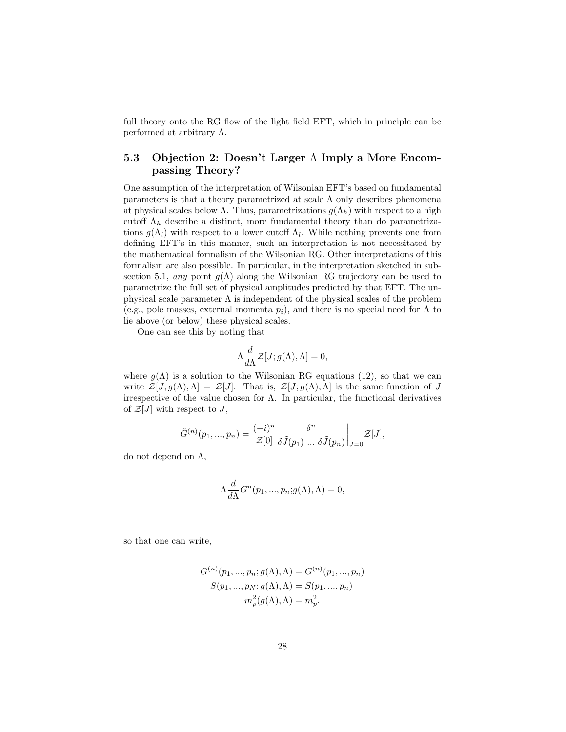full theory onto the RG flow of the light field EFT, which in principle can be performed at arbitrary Λ.

### 5.3 Objection 2: Doesn't Larger Λ Imply a More Encompassing Theory?

One assumption of the interpretation of Wilsonian EFT's based on fundamental parameters is that a theory parametrized at scale  $\Lambda$  only describes phenomena at physical scales below Λ. Thus, parametrizations  $g(\Lambda_h)$  with respect to a high cutoff  $\Lambda_h$  describe a distinct, more fundamental theory than do parametrizations  $g(\Lambda_l)$  with respect to a lower cutoff  $\Lambda_l$ . While nothing prevents one from defining EFT's in this manner, such an interpretation is not necessitated by the mathematical formalism of the Wilsonian RG. Other interpretations of this formalism are also possible. In particular, in the interpretation sketched in subsection 5.1, any point  $g(\Lambda)$  along the Wilsonian RG trajectory can be used to parametrize the full set of physical amplitudes predicted by that EFT. The unphysical scale parameter  $\Lambda$  is independent of the physical scales of the problem (e.g., pole masses, external momenta  $p_i$ ), and there is no special need for  $\Lambda$  to lie above (or below) these physical scales.

One can see this by noting that

$$
\Lambda \frac{d}{d\Lambda} \mathcal{Z}[J; g(\Lambda), \Lambda] = 0,
$$

where  $g(\Lambda)$  is a solution to the Wilsonian RG equations (12), so that we can write  $\mathcal{Z}[J; g(\Lambda), \Lambda] = \mathcal{Z}[J]$ . That is,  $\mathcal{Z}[J; g(\Lambda), \Lambda]$  is the same function of J irrespective of the value chosen for  $\Lambda$ . In particular, the functional derivatives of  $\mathcal{Z}[J]$  with respect to J,

$$
\tilde{G}^{(n)}(p_1, ..., p_n) = \frac{(-i)^n}{\mathcal{Z}[0]} \frac{\delta^n}{\delta \tilde{J}(p_1) \dots \delta \tilde{J}(p_n)} \bigg|_{J=0} \mathcal{Z}[J],
$$

do not depend on Λ,

$$
\Lambda \frac{d}{d\Lambda} G^n(p_1, ..., p_n; g(\Lambda), \Lambda) = 0,
$$

so that one can write,

$$
G^{(n)}(p_1, ..., p_n; g(\Lambda), \Lambda) = G^{(n)}(p_1, ..., p_n)
$$
  
\n
$$
S(p_1, ..., p_N; g(\Lambda), \Lambda) = S(p_1, ..., p_n)
$$
  
\n
$$
m_p^2(g(\Lambda), \Lambda) = m_p^2.
$$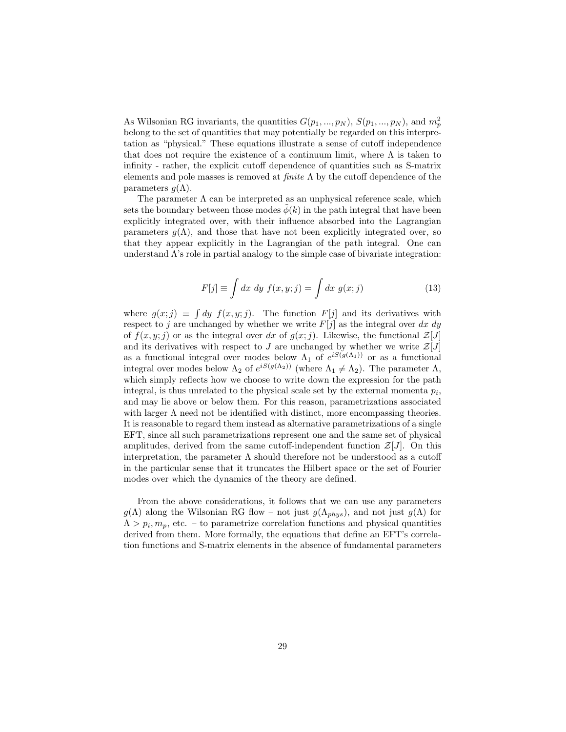As Wilsonian RG invariants, the quantities  $G(p_1, ..., p_N)$ ,  $S(p_1, ..., p_N)$ , and  $m_p^2$ belong to the set of quantities that may potentially be regarded on this interpretation as "physical." These equations illustrate a sense of cutoff independence that does not require the existence of a continuum limit, where  $\Lambda$  is taken to infinity - rather, the explicit cutoff dependence of quantities such as S-matrix elements and pole masses is removed at  $finite \Lambda$  by the cutoff dependence of the parameters  $q(\Lambda)$ .

The parameter  $\Lambda$  can be interpreted as an unphysical reference scale, which sets the boundary between those modes  $\phi(k)$  in the path integral that have been explicitly integrated over, with their influence absorbed into the Lagrangian parameters  $q(\Lambda)$ , and those that have not been explicitly integrated over, so that they appear explicitly in the Lagrangian of the path integral. One can understand  $\Lambda$ 's role in partial analogy to the simple case of bivariate integration:

$$
F[j] \equiv \int dx \ dy \ f(x, y; j) = \int dx \ g(x; j) \tag{13}
$$

where  $g(x; j) \equiv \int dy f(x, y; j)$ . The function  $F[j]$  and its derivatives with respect to j are unchanged by whether we write  $F[j]$  as the integral over dx dy of  $f(x, y; j)$  or as the integral over dx of  $g(x; j)$ . Likewise, the functional  $\mathcal{Z}[J]$ and its derivatives with respect to J are unchanged by whether we write  $\mathcal{Z}[J]$ as a functional integral over modes below  $\Lambda_1$  of  $e^{iS(g(\Lambda_1))}$  or as a functional integral over modes below  $\Lambda_2$  of  $e^{iS(g(\Lambda_2))}$  (where  $\Lambda_1 \neq \Lambda_2$ ). The parameter  $\Lambda$ , which simply reflects how we choose to write down the expression for the path integral, is thus unrelated to the physical scale set by the external momenta  $p_i$ , and may lie above or below them. For this reason, parametrizations associated with larger  $\Lambda$  need not be identified with distinct, more encompassing theories. It is reasonable to regard them instead as alternative parametrizations of a single EFT, since all such parametrizations represent one and the same set of physical amplitudes, derived from the same cutoff-independent function  $\mathcal{Z}[J]$ . On this interpretation, the parameter  $\Lambda$  should therefore not be understood as a cutoff in the particular sense that it truncates the Hilbert space or the set of Fourier modes over which the dynamics of the theory are defined.

From the above considerations, it follows that we can use any parameters  $g(\Lambda)$  along the Wilsonian RG flow – not just  $g(\Lambda_{phys})$ , and not just  $g(\Lambda)$  for  $\Lambda > p_i, m_p$ , etc. – to parametrize correlation functions and physical quantities derived from them. More formally, the equations that define an EFT's correlation functions and S-matrix elements in the absence of fundamental parameters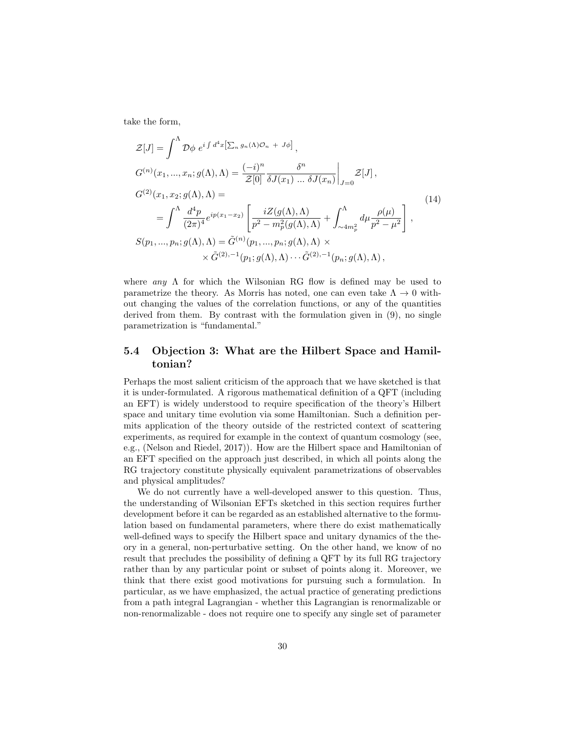take the form,

$$
\mathcal{Z}[J] = \int^{\Lambda} \mathcal{D}\phi \ e^{i \int d^4x \left[\sum_n g_n(\Lambda)\mathcal{O}_n + J\phi\right]},
$$
\n
$$
G^{(n)}(x_1, ..., x_n; g(\Lambda), \Lambda) = \frac{(-i)^n}{\mathcal{Z}[0]} \frac{\delta^n}{\delta J(x_1) ... \delta J(x_n)}\Big|_{J=0} \mathcal{Z}[J],
$$
\n
$$
G^{(2)}(x_1, x_2; g(\Lambda), \Lambda) =
$$
\n
$$
= \int^{\Lambda} \frac{d^4p}{(2\pi)^4} e^{ip(x_1 - x_2)} \left[\frac{iZ(g(\Lambda), \Lambda)}{p^2 - m_p^2(g(\Lambda), \Lambda)} + \int^{\Lambda}_{\sim 4m_p^2} d\mu \frac{\rho(\mu)}{p^2 - \mu^2}\right],
$$
\n
$$
S(p_1, ..., p_n; g(\Lambda), \Lambda) = \tilde{G}^{(n)}(p_1, ..., p_n; g(\Lambda), \Lambda) \times
$$
\n
$$
\times \tilde{G}^{(2), -1}(p_1; g(\Lambda), \Lambda) \cdots \tilde{G}^{(2), -1}(p_n; g(\Lambda), \Lambda),
$$
\n(14)

where any  $\Lambda$  for which the Wilsonian RG flow is defined may be used to parametrize the theory. As Morris has noted, one can even take  $\Lambda \to 0$  without changing the values of the correlation functions, or any of the quantities derived from them. By contrast with the formulation given in (9), no single parametrization is "fundamental."

### 5.4 Objection 3: What are the Hilbert Space and Hamiltonian?

Perhaps the most salient criticism of the approach that we have sketched is that it is under-formulated. A rigorous mathematical definition of a QFT (including an EFT) is widely understood to require specification of the theory's Hilbert space and unitary time evolution via some Hamiltonian. Such a definition permits application of the theory outside of the restricted context of scattering experiments, as required for example in the context of quantum cosmology (see, e.g., (Nelson and Riedel, 2017)). How are the Hilbert space and Hamiltonian of an EFT specified on the approach just described, in which all points along the RG trajectory constitute physically equivalent parametrizations of observables and physical amplitudes?

We do not currently have a well-developed answer to this question. Thus, the understanding of Wilsonian EFTs sketched in this section requires further development before it can be regarded as an established alternative to the formulation based on fundamental parameters, where there do exist mathematically well-defined ways to specify the Hilbert space and unitary dynamics of the theory in a general, non-perturbative setting. On the other hand, we know of no result that precludes the possibility of defining a QFT by its full RG trajectory rather than by any particular point or subset of points along it. Moreover, we think that there exist good motivations for pursuing such a formulation. In particular, as we have emphasized, the actual practice of generating predictions from a path integral Lagrangian - whether this Lagrangian is renormalizable or non-renormalizable - does not require one to specify any single set of parameter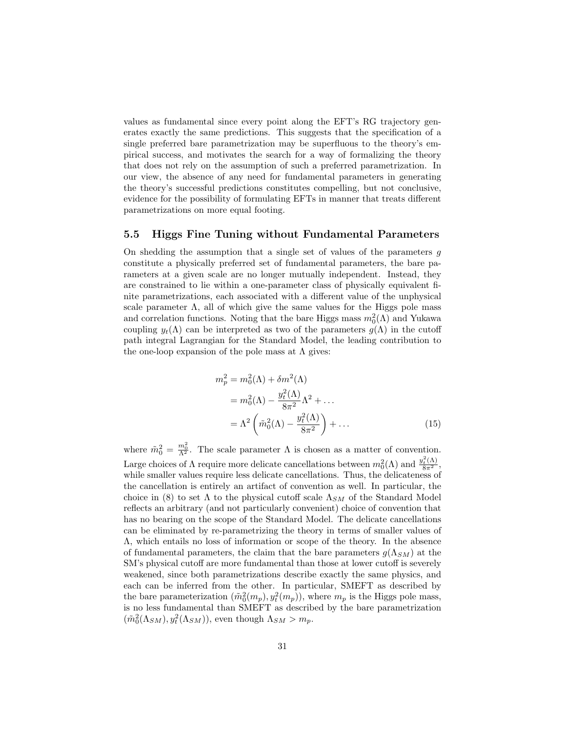values as fundamental since every point along the EFT's RG trajectory generates exactly the same predictions. This suggests that the specification of a single preferred bare parametrization may be superfluous to the theory's empirical success, and motivates the search for a way of formalizing the theory that does not rely on the assumption of such a preferred parametrization. In our view, the absence of any need for fundamental parameters in generating the theory's successful predictions constitutes compelling, but not conclusive, evidence for the possibility of formulating EFTs in manner that treats different parametrizations on more equal footing.

#### 5.5 Higgs Fine Tuning without Fundamental Parameters

On shedding the assumption that a single set of values of the parameters  $g$ constitute a physically preferred set of fundamental parameters, the bare parameters at a given scale are no longer mutually independent. Instead, they are constrained to lie within a one-parameter class of physically equivalent finite parametrizations, each associated with a different value of the unphysical scale parameter  $\Lambda$ , all of which give the same values for the Higgs pole mass and correlation functions. Noting that the bare Higgs mass  $m_0^2(\Lambda)$  and Yukawa coupling  $y_t(\Lambda)$  can be interpreted as two of the parameters  $g(\Lambda)$  in the cutoff path integral Lagrangian for the Standard Model, the leading contribution to the one-loop expansion of the pole mass at  $\Lambda$  gives:

$$
m_p^2 = m_0^2(\Lambda) + \delta m^2(\Lambda)
$$
  
=  $m_0^2(\Lambda) - \frac{y_t^2(\Lambda)}{8\pi^2} \Lambda^2 + \dots$   
=  $\Lambda^2 \left( \tilde{m}_0^2(\Lambda) - \frac{y_t^2(\Lambda)}{8\pi^2} \right) + \dots$  (15)

where  $\tilde{m}_0^2 = \frac{m_0^2}{\Lambda^2}$ . The scale parameter  $\Lambda$  is chosen as a matter of convention. Large choices of  $\Lambda$  require more delicate cancellations between  $m_0^2(\Lambda)$  and  $\frac{y_t^2(\Lambda)}{8\pi^2}$ , while smaller values require less delicate cancellations. Thus, the delicateness of the cancellation is entirely an artifact of convention as well. In particular, the choice in (8) to set  $\Lambda$  to the physical cutoff scale  $\Lambda_{SM}$  of the Standard Model reflects an arbitrary (and not particularly convenient) choice of convention that has no bearing on the scope of the Standard Model. The delicate cancellations can be eliminated by re-parametrizing the theory in terms of smaller values of Λ, which entails no loss of information or scope of the theory. In the absence of fundamental parameters, the claim that the bare parameters  $g(\Lambda_{SM})$  at the SM's physical cutoff are more fundamental than those at lower cutoff is severely weakened, since both parametrizations describe exactly the same physics, and each can be inferred from the other. In particular, SMEFT as described by the bare parameterization  $(\tilde{m}_0^2(m_p), y_t^2(m_p))$ , where  $m_p$  is the Higgs pole mass, is no less fundamental than SMEFT as described by the bare parametrization  $(\tilde{m}_0^2(\Lambda_{SM}), y_t^2(\Lambda_{SM}))$ , even though  $\Lambda_{SM} > m_p$ .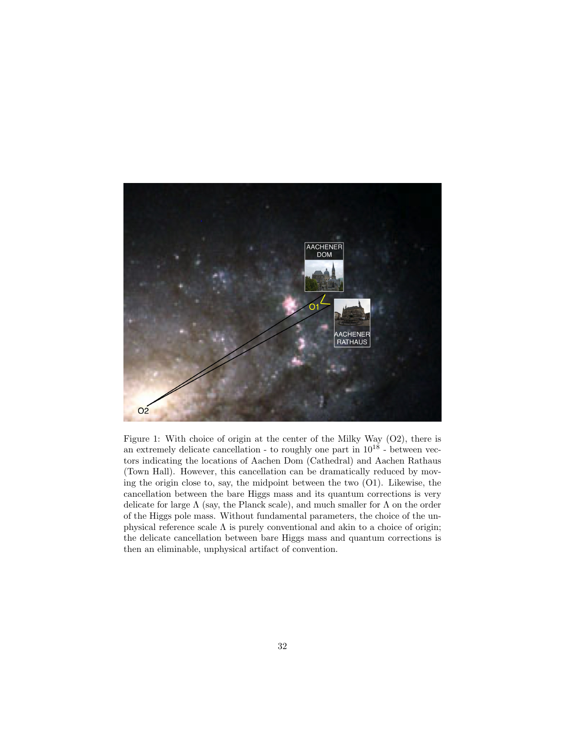

Figure 1: With choice of origin at the center of the Milky Way (O2), there is an extremely delicate cancellation - to roughly one part in  $10^{18}$  - between vectors indicating the locations of Aachen Dom (Cathedral) and Aachen Rathaus (Town Hall). However, this cancellation can be dramatically reduced by moving the origin close to, say, the midpoint between the two (O1). Likewise, the cancellation between the bare Higgs mass and its quantum corrections is very delicate for large  $\Lambda$  (say, the Planck scale), and much smaller for  $\Lambda$  on the order of the Higgs pole mass. Without fundamental parameters, the choice of the unphysical reference scale  $\Lambda$  is purely conventional and akin to a choice of origin; the delicate cancellation between bare Higgs mass and quantum corrections is then an eliminable, unphysical artifact of convention.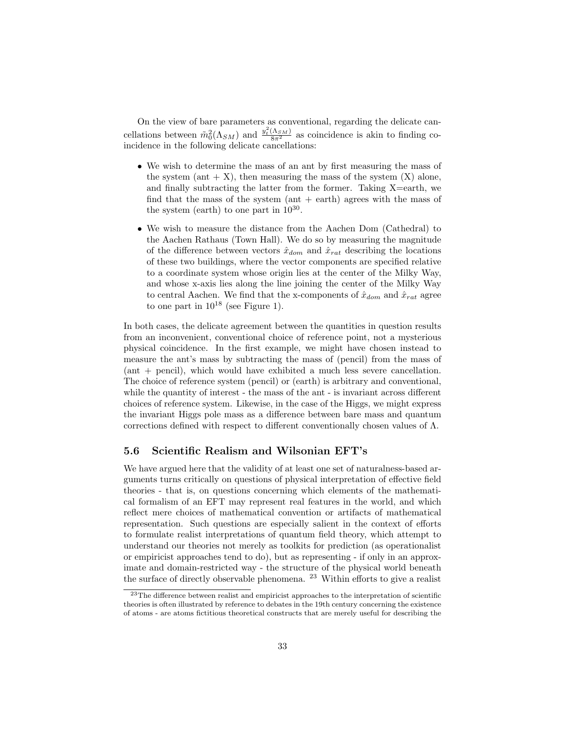On the view of bare parameters as conventional, regarding the delicate cancellations between  $\tilde{m}_0^2(\Lambda_{SM})$  and  $\frac{y_t^2(\Lambda_{SM})}{8\pi^2}$  as coincidence is akin to finding coincidence in the following delicate cancellations:

- We wish to determine the mass of an ant by first measuring the mass of the system (ant  $+ X$ ), then measuring the mass of the system  $(X)$  alone, and finally subtracting the latter from the former. Taking X=earth, we find that the mass of the system  $(ant + earth)$  agrees with the mass of the system (earth) to one part in  $10^{30}$ .
- We wish to measure the distance from the Aachen Dom (Cathedral) to the Aachen Rathaus (Town Hall). We do so by measuring the magnitude of the difference between vectors  $\hat{x}_{dom}$  and  $\hat{x}_{rat}$  describing the locations of these two buildings, where the vector components are specified relative to a coordinate system whose origin lies at the center of the Milky Way, and whose x-axis lies along the line joining the center of the Milky Way to central Aachen. We find that the x-components of  $\hat{x}_{dom}$  and  $\hat{x}_{rat}$  agree to one part in  $10^{18}$  (see Figure 1).

In both cases, the delicate agreement between the quantities in question results from an inconvenient, conventional choice of reference point, not a mysterious physical coincidence. In the first example, we might have chosen instead to measure the ant's mass by subtracting the mass of (pencil) from the mass of (ant + pencil), which would have exhibited a much less severe cancellation. The choice of reference system (pencil) or (earth) is arbitrary and conventional, while the quantity of interest - the mass of the ant - is invariant across different choices of reference system. Likewise, in the case of the Higgs, we might express the invariant Higgs pole mass as a difference between bare mass and quantum corrections defined with respect to different conventionally chosen values of  $\Lambda$ .

### 5.6 Scientific Realism and Wilsonian EFT's

We have argued here that the validity of at least one set of naturalness-based arguments turns critically on questions of physical interpretation of effective field theories - that is, on questions concerning which elements of the mathematical formalism of an EFT may represent real features in the world, and which reflect mere choices of mathematical convention or artifacts of mathematical representation. Such questions are especially salient in the context of efforts to formulate realist interpretations of quantum field theory, which attempt to understand our theories not merely as toolkits for prediction (as operationalist or empiricist approaches tend to do), but as representing - if only in an approximate and domain-restricted way - the structure of the physical world beneath the surface of directly observable phenomena. <sup>23</sup> Within efforts to give a realist

<sup>&</sup>lt;sup>23</sup>The difference between realist and empiricist approaches to the interpretation of scientific theories is often illustrated by reference to debates in the 19th century concerning the existence of atoms - are atoms fictitious theoretical constructs that are merely useful for describing the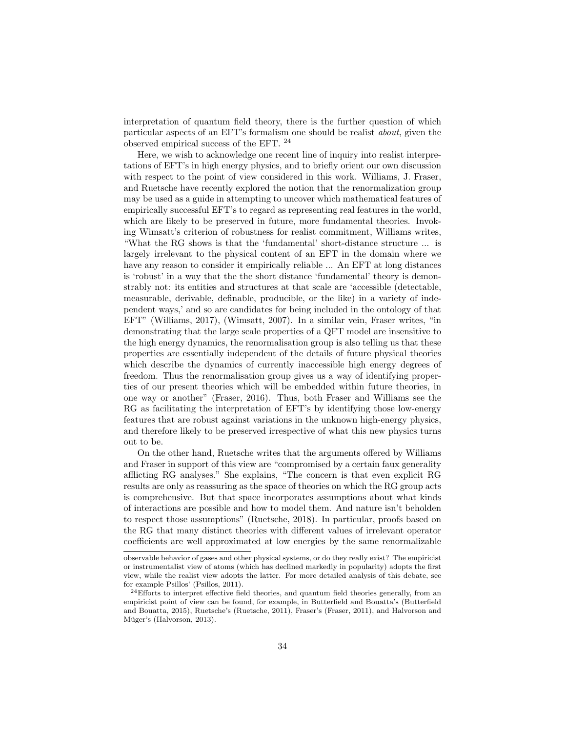interpretation of quantum field theory, there is the further question of which particular aspects of an EFT's formalism one should be realist about, given the observed empirical success of the EFT.  $^{\rm 24}$ 

Here, we wish to acknowledge one recent line of inquiry into realist interpretations of EFT's in high energy physics, and to briefly orient our own discussion with respect to the point of view considered in this work. Williams, J. Fraser, and Ruetsche have recently explored the notion that the renormalization group may be used as a guide in attempting to uncover which mathematical features of empirically successful EFT's to regard as representing real features in the world, which are likely to be preserved in future, more fundamental theories. Invoking Wimsatt's criterion of robustness for realist commitment, Williams writes, "What the RG shows is that the 'fundamental' short-distance structure ... is largely irrelevant to the physical content of an EFT in the domain where we have any reason to consider it empirically reliable  $\ldots$  An EFT at long distances is 'robust' in a way that the the short distance 'fundamental' theory is demonstrably not: its entities and structures at that scale are 'accessible (detectable, measurable, derivable, definable, producible, or the like) in a variety of independent ways,' and so are candidates for being included in the ontology of that EFT" (Williams, 2017), (Wimsatt, 2007). In a similar vein, Fraser writes, "in demonstrating that the large scale properties of a QFT model are insensitive to the high energy dynamics, the renormalisation group is also telling us that these properties are essentially independent of the details of future physical theories which describe the dynamics of currently inaccessible high energy degrees of freedom. Thus the renormalisation group gives us a way of identifying properties of our present theories which will be embedded within future theories, in one way or another" (Fraser, 2016). Thus, both Fraser and Williams see the RG as facilitating the interpretation of EFT's by identifying those low-energy features that are robust against variations in the unknown high-energy physics, and therefore likely to be preserved irrespective of what this new physics turns out to be.

On the other hand, Ruetsche writes that the arguments offered by Williams and Fraser in support of this view are "compromised by a certain faux generality afflicting RG analyses." She explains, "The concern is that even explicit RG results are only as reassuring as the space of theories on which the RG group acts is comprehensive. But that space incorporates assumptions about what kinds of interactions are possible and how to model them. And nature isn't beholden to respect those assumptions" (Ruetsche, 2018). In particular, proofs based on the RG that many distinct theories with different values of irrelevant operator coefficients are well approximated at low energies by the same renormalizable

observable behavior of gases and other physical systems, or do they really exist? The empiricist or instrumentalist view of atoms (which has declined markedly in popularity) adopts the first view, while the realist view adopts the latter. For more detailed analysis of this debate, see for example Psillos' (Psillos, 2011).

 $24E$ fforts to interpret effective field theories, and quantum field theories generally, from an empiricist point of view can be found, for example, in Butterfield and Bouatta's (Butterfield and Bouatta, 2015), Ruetsche's (Ruetsche, 2011), Fraser's (Fraser, 2011), and Halvorson and Müger's (Halvorson, 2013).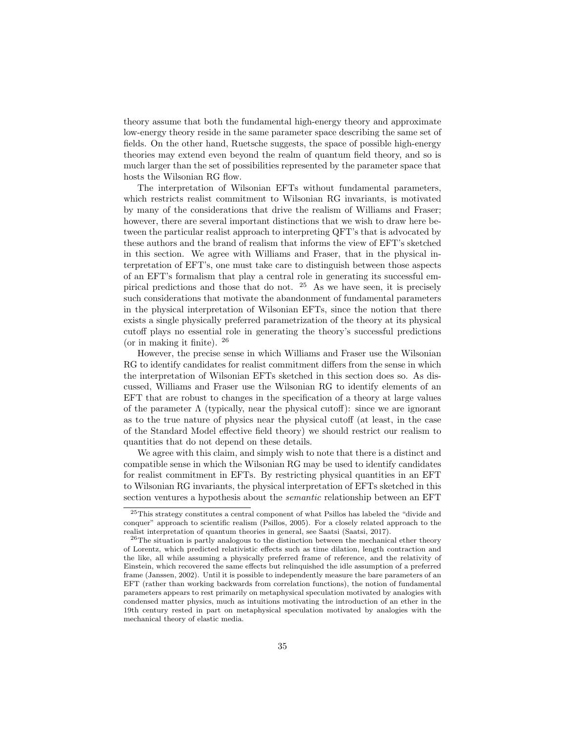theory assume that both the fundamental high-energy theory and approximate low-energy theory reside in the same parameter space describing the same set of fields. On the other hand, Ruetsche suggests, the space of possible high-energy theories may extend even beyond the realm of quantum field theory, and so is much larger than the set of possibilities represented by the parameter space that hosts the Wilsonian RG flow.

The interpretation of Wilsonian EFTs without fundamental parameters, which restricts realist commitment to Wilsonian RG invariants, is motivated by many of the considerations that drive the realism of Williams and Fraser; however, there are several important distinctions that we wish to draw here between the particular realist approach to interpreting QFT's that is advocated by these authors and the brand of realism that informs the view of EFT's sketched in this section. We agree with Williams and Fraser, that in the physical interpretation of EFT's, one must take care to distinguish between those aspects of an EFT's formalism that play a central role in generating its successful empirical predictions and those that do not. <sup>25</sup> As we have seen, it is precisely such considerations that motivate the abandonment of fundamental parameters in the physical interpretation of Wilsonian EFTs, since the notion that there exists a single physically preferred parametrization of the theory at its physical cutoff plays no essential role in generating the theory's successful predictions (or in making it finite). <sup>26</sup>

However, the precise sense in which Williams and Fraser use the Wilsonian RG to identify candidates for realist commitment differs from the sense in which the interpretation of Wilsonian EFTs sketched in this section does so. As discussed, Williams and Fraser use the Wilsonian RG to identify elements of an EFT that are robust to changes in the specification of a theory at large values of the parameter  $\Lambda$  (typically, near the physical cutoff): since we are ignorant as to the true nature of physics near the physical cutoff (at least, in the case of the Standard Model effective field theory) we should restrict our realism to quantities that do not depend on these details.

We agree with this claim, and simply wish to note that there is a distinct and compatible sense in which the Wilsonian RG may be used to identify candidates for realist commitment in EFTs. By restricting physical quantities in an EFT to Wilsonian RG invariants, the physical interpretation of EFTs sketched in this section ventures a hypothesis about the semantic relationship between an EFT

<sup>25</sup>This strategy constitutes a central component of what Psillos has labeled the "divide and conquer" approach to scientific realism (Psillos, 2005). For a closely related approach to the realist interpretation of quantum theories in general, see Saatsi (Saatsi, 2017).

<sup>26</sup>The situation is partly analogous to the distinction between the mechanical ether theory of Lorentz, which predicted relativistic effects such as time dilation, length contraction and the like, all while assuming a physically preferred frame of reference, and the relativity of Einstein, which recovered the same effects but relinquished the idle assumption of a preferred frame (Janssen, 2002). Until it is possible to independently measure the bare parameters of an EFT (rather than working backwards from correlation functions), the notion of fundamental parameters appears to rest primarily on metaphysical speculation motivated by analogies with condensed matter physics, much as intuitions motivating the introduction of an ether in the 19th century rested in part on metaphysical speculation motivated by analogies with the mechanical theory of elastic media.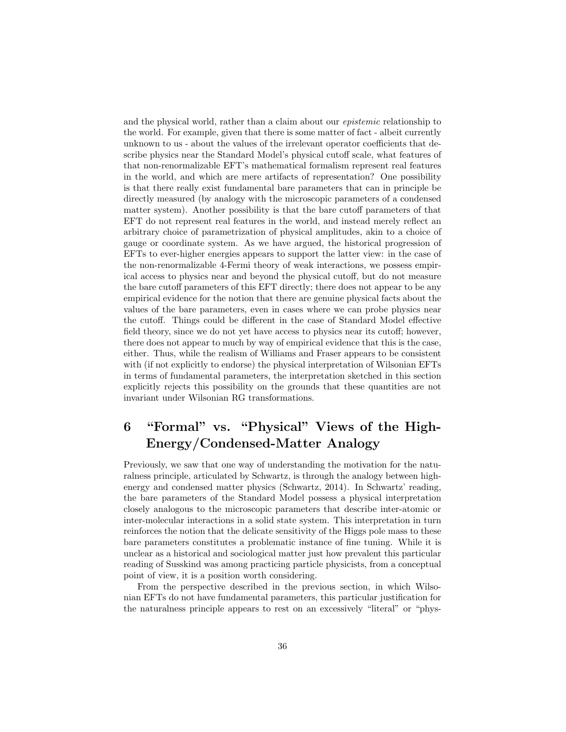and the physical world, rather than a claim about our epistemic relationship to the world. For example, given that there is some matter of fact - albeit currently unknown to us - about the values of the irrelevant operator coefficients that describe physics near the Standard Model's physical cutoff scale, what features of that non-renormalizable EFT's mathematical formalism represent real features in the world, and which are mere artifacts of representation? One possibility is that there really exist fundamental bare parameters that can in principle be directly measured (by analogy with the microscopic parameters of a condensed matter system). Another possibility is that the bare cutoff parameters of that EFT do not represent real features in the world, and instead merely reflect an arbitrary choice of parametrization of physical amplitudes, akin to a choice of gauge or coordinate system. As we have argued, the historical progression of EFTs to ever-higher energies appears to support the latter view: in the case of the non-renormalizable 4-Fermi theory of weak interactions, we possess empirical access to physics near and beyond the physical cutoff, but do not measure the bare cutoff parameters of this EFT directly; there does not appear to be any empirical evidence for the notion that there are genuine physical facts about the values of the bare parameters, even in cases where we can probe physics near the cutoff. Things could be different in the case of Standard Model effective field theory, since we do not yet have access to physics near its cutoff; however, there does not appear to much by way of empirical evidence that this is the case, either. Thus, while the realism of Williams and Fraser appears to be consistent with (if not explicitly to endorse) the physical interpretation of Wilsonian EFTs in terms of fundamental parameters, the interpretation sketched in this section explicitly rejects this possibility on the grounds that these quantities are not invariant under Wilsonian RG transformations.

# 6 "Formal" vs. "Physical" Views of the High-Energy/Condensed-Matter Analogy

Previously, we saw that one way of understanding the motivation for the naturalness principle, articulated by Schwartz, is through the analogy between highenergy and condensed matter physics (Schwartz, 2014). In Schwartz' reading, the bare parameters of the Standard Model possess a physical interpretation closely analogous to the microscopic parameters that describe inter-atomic or inter-molecular interactions in a solid state system. This interpretation in turn reinforces the notion that the delicate sensitivity of the Higgs pole mass to these bare parameters constitutes a problematic instance of fine tuning. While it is unclear as a historical and sociological matter just how prevalent this particular reading of Susskind was among practicing particle physicists, from a conceptual point of view, it is a position worth considering.

From the perspective described in the previous section, in which Wilsonian EFTs do not have fundamental parameters, this particular justification for the naturalness principle appears to rest on an excessively "literal" or "phys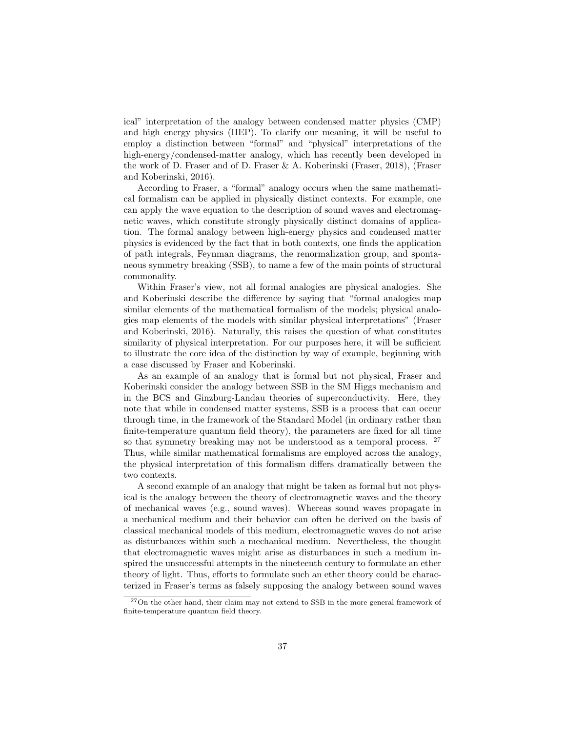ical" interpretation of the analogy between condensed matter physics (CMP) and high energy physics (HEP). To clarify our meaning, it will be useful to employ a distinction between "formal" and "physical" interpretations of the high-energy/condensed-matter analogy, which has recently been developed in the work of D. Fraser and of D. Fraser & A. Koberinski (Fraser, 2018), (Fraser and Koberinski, 2016).

According to Fraser, a "formal" analogy occurs when the same mathematical formalism can be applied in physically distinct contexts. For example, one can apply the wave equation to the description of sound waves and electromagnetic waves, which constitute strongly physically distinct domains of application. The formal analogy between high-energy physics and condensed matter physics is evidenced by the fact that in both contexts, one finds the application of path integrals, Feynman diagrams, the renormalization group, and spontaneous symmetry breaking (SSB), to name a few of the main points of structural commonality.

Within Fraser's view, not all formal analogies are physical analogies. She and Koberinski describe the difference by saying that "formal analogies map similar elements of the mathematical formalism of the models; physical analogies map elements of the models with similar physical interpretations" (Fraser and Koberinski, 2016). Naturally, this raises the question of what constitutes similarity of physical interpretation. For our purposes here, it will be sufficient to illustrate the core idea of the distinction by way of example, beginning with a case discussed by Fraser and Koberinski.

As an example of an analogy that is formal but not physical, Fraser and Koberinski consider the analogy between SSB in the SM Higgs mechanism and in the BCS and Ginzburg-Landau theories of superconductivity. Here, they note that while in condensed matter systems, SSB is a process that can occur through time, in the framework of the Standard Model (in ordinary rather than finite-temperature quantum field theory), the parameters are fixed for all time so that symmetry breaking may not be understood as a temporal process. <sup>27</sup> Thus, while similar mathematical formalisms are employed across the analogy, the physical interpretation of this formalism differs dramatically between the two contexts.

A second example of an analogy that might be taken as formal but not physical is the analogy between the theory of electromagnetic waves and the theory of mechanical waves (e.g., sound waves). Whereas sound waves propagate in a mechanical medium and their behavior can often be derived on the basis of classical mechanical models of this medium, electromagnetic waves do not arise as disturbances within such a mechanical medium. Nevertheless, the thought that electromagnetic waves might arise as disturbances in such a medium inspired the unsuccessful attempts in the nineteenth century to formulate an ether theory of light. Thus, efforts to formulate such an ether theory could be characterized in Fraser's terms as falsely supposing the analogy between sound waves

<sup>27</sup>On the other hand, their claim may not extend to SSB in the more general framework of finite-temperature quantum field theory.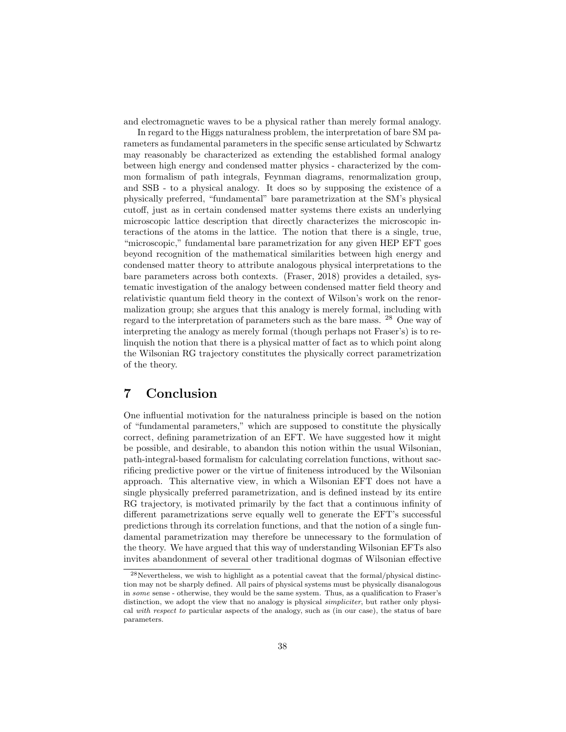and electromagnetic waves to be a physical rather than merely formal analogy.

In regard to the Higgs naturalness problem, the interpretation of bare SM parameters as fundamental parameters in the specific sense articulated by Schwartz may reasonably be characterized as extending the established formal analogy between high energy and condensed matter physics - characterized by the common formalism of path integrals, Feynman diagrams, renormalization group, and SSB - to a physical analogy. It does so by supposing the existence of a physically preferred, "fundamental" bare parametrization at the SM's physical cutoff, just as in certain condensed matter systems there exists an underlying microscopic lattice description that directly characterizes the microscopic interactions of the atoms in the lattice. The notion that there is a single, true, "microscopic," fundamental bare parametrization for any given HEP EFT goes beyond recognition of the mathematical similarities between high energy and condensed matter theory to attribute analogous physical interpretations to the bare parameters across both contexts. (Fraser, 2018) provides a detailed, systematic investigation of the analogy between condensed matter field theory and relativistic quantum field theory in the context of Wilson's work on the renormalization group; she argues that this analogy is merely formal, including with regard to the interpretation of parameters such as the bare mass. <sup>28</sup> One way of interpreting the analogy as merely formal (though perhaps not Fraser's) is to relinquish the notion that there is a physical matter of fact as to which point along the Wilsonian RG trajectory constitutes the physically correct parametrization of the theory.

# 7 Conclusion

One influential motivation for the naturalness principle is based on the notion of "fundamental parameters," which are supposed to constitute the physically correct, defining parametrization of an EFT. We have suggested how it might be possible, and desirable, to abandon this notion within the usual Wilsonian, path-integral-based formalism for calculating correlation functions, without sacrificing predictive power or the virtue of finiteness introduced by the Wilsonian approach. This alternative view, in which a Wilsonian EFT does not have a single physically preferred parametrization, and is defined instead by its entire RG trajectory, is motivated primarily by the fact that a continuous infinity of different parametrizations serve equally well to generate the EFT's successful predictions through its correlation functions, and that the notion of a single fundamental parametrization may therefore be unnecessary to the formulation of the theory. We have argued that this way of understanding Wilsonian EFTs also invites abandonment of several other traditional dogmas of Wilsonian effective

<sup>28</sup>Nevertheless, we wish to highlight as a potential caveat that the formal/physical distinction may not be sharply defined. All pairs of physical systems must be physically disanalogous in some sense - otherwise, they would be the same system. Thus, as a qualification to Fraser's distinction, we adopt the view that no analogy is physical simpliciter, but rather only physical with respect to particular aspects of the analogy, such as (in our case), the status of bare parameters.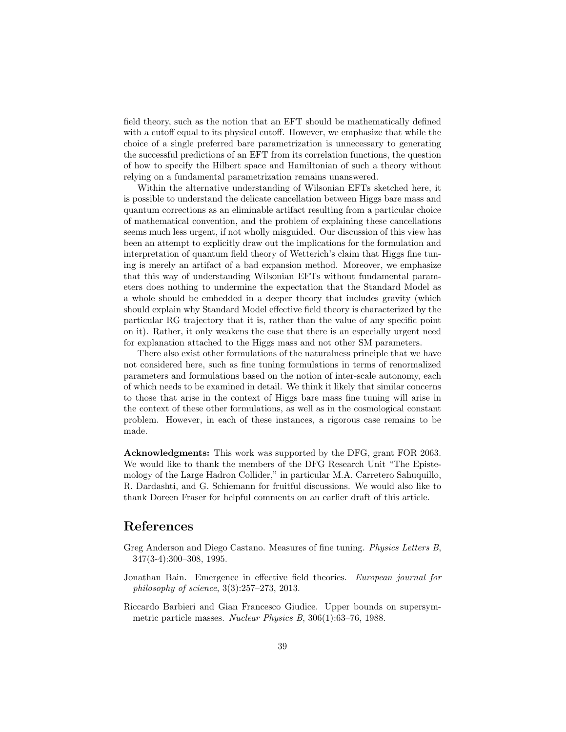field theory, such as the notion that an EFT should be mathematically defined with a cutoff equal to its physical cutoff. However, we emphasize that while the choice of a single preferred bare parametrization is unnecessary to generating the successful predictions of an EFT from its correlation functions, the question of how to specify the Hilbert space and Hamiltonian of such a theory without relying on a fundamental parametrization remains unanswered.

Within the alternative understanding of Wilsonian EFTs sketched here, it is possible to understand the delicate cancellation between Higgs bare mass and quantum corrections as an eliminable artifact resulting from a particular choice of mathematical convention, and the problem of explaining these cancellations seems much less urgent, if not wholly misguided. Our discussion of this view has been an attempt to explicitly draw out the implications for the formulation and interpretation of quantum field theory of Wetterich's claim that Higgs fine tuning is merely an artifact of a bad expansion method. Moreover, we emphasize that this way of understanding Wilsonian EFTs without fundamental parameters does nothing to undermine the expectation that the Standard Model as a whole should be embedded in a deeper theory that includes gravity (which should explain why Standard Model effective field theory is characterized by the particular RG trajectory that it is, rather than the value of any specific point on it). Rather, it only weakens the case that there is an especially urgent need for explanation attached to the Higgs mass and not other SM parameters.

There also exist other formulations of the naturalness principle that we have not considered here, such as fine tuning formulations in terms of renormalized parameters and formulations based on the notion of inter-scale autonomy, each of which needs to be examined in detail. We think it likely that similar concerns to those that arise in the context of Higgs bare mass fine tuning will arise in the context of these other formulations, as well as in the cosmological constant problem. However, in each of these instances, a rigorous case remains to be made.

Acknowledgments: This work was supported by the DFG, grant FOR 2063. We would like to thank the members of the DFG Research Unit "The Epistemology of the Large Hadron Collider," in particular M.A. Carretero Sahuquillo, R. Dardashti, and G. Schiemann for fruitful discussions. We would also like to thank Doreen Fraser for helpful comments on an earlier draft of this article.

### References

- Greg Anderson and Diego Castano. Measures of fine tuning. Physics Letters B, 347(3-4):300–308, 1995.
- Jonathan Bain. Emergence in effective field theories. European journal for philosophy of science, 3(3):257–273, 2013.
- Riccardo Barbieri and Gian Francesco Giudice. Upper bounds on supersymmetric particle masses. Nuclear Physics B, 306(1):63–76, 1988.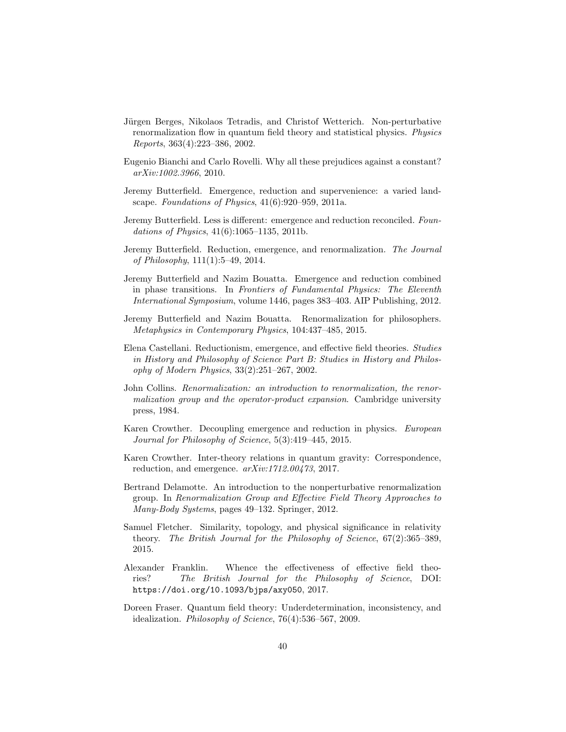- Jürgen Berges, Nikolaos Tetradis, and Christof Wetterich. Non-perturbative renormalization flow in quantum field theory and statistical physics. Physics Reports, 363(4):223–386, 2002.
- Eugenio Bianchi and Carlo Rovelli. Why all these prejudices against a constant? arXiv:1002.3966, 2010.
- Jeremy Butterfield. Emergence, reduction and supervenience: a varied landscape. Foundations of Physics, 41(6):920–959, 2011a.
- Jeremy Butterfield. Less is different: emergence and reduction reconciled. Foundations of Physics,  $41(6):1065-1135$ , 2011b.
- Jeremy Butterfield. Reduction, emergence, and renormalization. The Journal of Philosophy, 111(1):5–49, 2014.
- Jeremy Butterfield and Nazim Bouatta. Emergence and reduction combined in phase transitions. In Frontiers of Fundamental Physics: The Eleventh International Symposium, volume 1446, pages 383–403. AIP Publishing, 2012.
- Jeremy Butterfield and Nazim Bouatta. Renormalization for philosophers. Metaphysics in Contemporary Physics, 104:437–485, 2015.
- Elena Castellani. Reductionism, emergence, and effective field theories. Studies in History and Philosophy of Science Part B: Studies in History and Philosophy of Modern Physics, 33(2):251–267, 2002.
- John Collins. Renormalization: an introduction to renormalization, the renormalization group and the operator-product expansion. Cambridge university press, 1984.
- Karen Crowther. Decoupling emergence and reduction in physics. European Journal for Philosophy of Science, 5(3):419–445, 2015.
- Karen Crowther. Inter-theory relations in quantum gravity: Correspondence, reduction, and emergence. arXiv:1712.00473, 2017.
- Bertrand Delamotte. An introduction to the nonperturbative renormalization group. In Renormalization Group and Effective Field Theory Approaches to Many-Body Systems, pages 49–132. Springer, 2012.
- Samuel Fletcher. Similarity, topology, and physical significance in relativity theory. The British Journal for the Philosophy of Science, 67(2):365–389, 2015.
- Alexander Franklin. Whence the effectiveness of effective field theories? The British Journal for the Philosophy of Science, DOI: https://doi.org/10.1093/bjps/axy050, 2017.
- Doreen Fraser. Quantum field theory: Underdetermination, inconsistency, and idealization. Philosophy of Science, 76(4):536–567, 2009.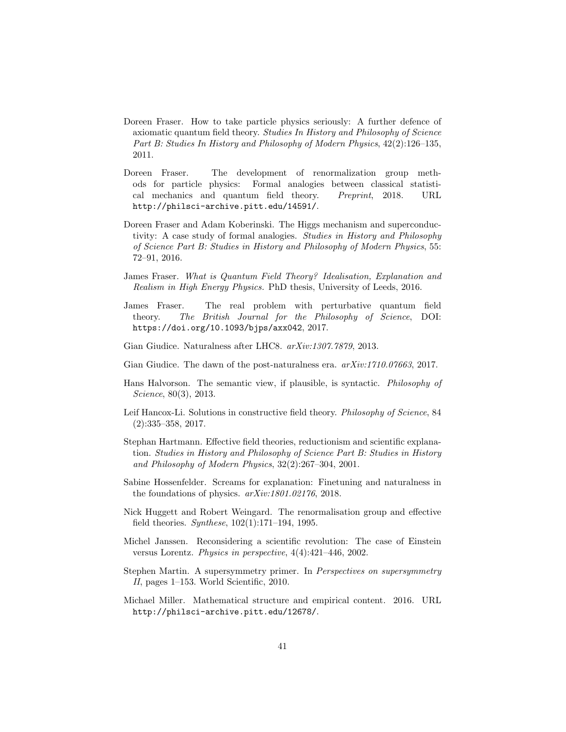- Doreen Fraser. How to take particle physics seriously: A further defence of axiomatic quantum field theory. Studies In History and Philosophy of Science Part B: Studies In History and Philosophy of Modern Physics, 42(2):126–135, 2011.
- Doreen Fraser. The development of renormalization group methods for particle physics: Formal analogies between classical statistical mechanics and quantum field theory. Preprint, 2018. URL http://philsci-archive.pitt.edu/14591/.
- Doreen Fraser and Adam Koberinski. The Higgs mechanism and superconductivity: A case study of formal analogies. Studies in History and Philosophy of Science Part B: Studies in History and Philosophy of Modern Physics, 55: 72–91, 2016.
- James Fraser. What is Quantum Field Theory? Idealisation, Explanation and Realism in High Energy Physics. PhD thesis, University of Leeds, 2016.
- James Fraser. The real problem with perturbative quantum field theory. The British Journal for the Philosophy of Science, DOI: https://doi.org/10.1093/bjps/axx042, 2017.
- Gian Giudice. Naturalness after LHC8. arXiv:1307.7879, 2013.
- Gian Giudice. The dawn of the post-naturalness era.  $arXiv:1710.07663$ , 2017.
- Hans Halvorson. The semantic view, if plausible, is syntactic. Philosophy of Science, 80(3), 2013.
- Leif Hancox-Li. Solutions in constructive field theory. Philosophy of Science, 84 (2):335–358, 2017.
- Stephan Hartmann. Effective field theories, reductionism and scientific explanation. Studies in History and Philosophy of Science Part B: Studies in History and Philosophy of Modern Physics, 32(2):267–304, 2001.
- Sabine Hossenfelder. Screams for explanation: Finetuning and naturalness in the foundations of physics. arXiv:1801.02176, 2018.
- Nick Huggett and Robert Weingard. The renormalisation group and effective field theories. Synthese, 102(1):171–194, 1995.
- Michel Janssen. Reconsidering a scientific revolution: The case of Einstein versus Lorentz. Physics in perspective, 4(4):421–446, 2002.
- Stephen Martin. A supersymmetry primer. In Perspectives on supersymmetry II, pages 1–153. World Scientific, 2010.
- Michael Miller. Mathematical structure and empirical content. 2016. URL http://philsci-archive.pitt.edu/12678/.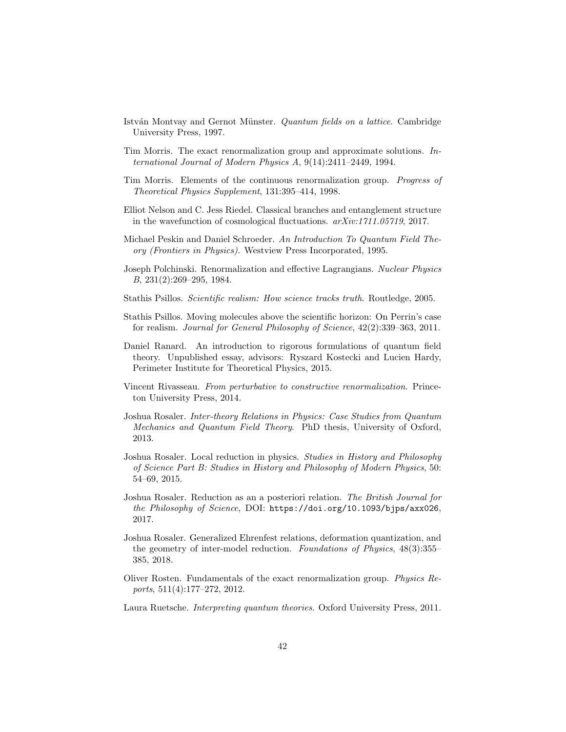- István Montvay and Gernot Münster. Quantum fields on a lattice. Cambridge University Press, 1997.
- Tim Morris. The exact renormalization group and approximate solutions. International Journal of Modern Physics A, 9(14):2411–2449, 1994.
- Tim Morris. Elements of the continuous renormalization group. Progress of Theoretical Physics Supplement, 131:395–414, 1998.
- Elliot Nelson and C. Jess Riedel. Classical branches and entanglement structure in the wavefunction of cosmological fluctuations. arXiv:1711.05719, 2017.
- Michael Peskin and Daniel Schroeder. An Introduction To Quantum Field Theory (Frontiers in Physics). Westview Press Incorporated, 1995.
- Joseph Polchinski. Renormalization and effective Lagrangians. Nuclear Physics B, 231(2):269–295, 1984.
- Stathis Psillos. Scientific realism: How science tracks truth. Routledge, 2005.
- Stathis Psillos. Moving molecules above the scientific horizon: On Perrin's case for realism. Journal for General Philosophy of Science, 42(2):339–363, 2011.
- Daniel Ranard. An introduction to rigorous formulations of quantum field theory. Unpublished essay, advisors: Ryszard Kostecki and Lucien Hardy, Perimeter Institute for Theoretical Physics, 2015.
- Vincent Rivasseau. From perturbative to constructive renormalization. Princeton University Press, 2014.
- Joshua Rosaler. Inter-theory Relations in Physics: Case Studies from Quantum Mechanics and Quantum Field Theory. PhD thesis, University of Oxford, 2013.
- Joshua Rosaler. Local reduction in physics. Studies in History and Philosophy of Science Part B: Studies in History and Philosophy of Modern Physics, 50: 54–69, 2015.
- Joshua Rosaler. Reduction as an a posteriori relation. The British Journal for the Philosophy of Science, DOI: https://doi.org/10.1093/bjps/axx026, 2017.
- Joshua Rosaler. Generalized Ehrenfest relations, deformation quantization, and the geometry of inter-model reduction. Foundations of Physics, 48(3):355– 385, 2018.
- Oliver Rosten. Fundamentals of the exact renormalization group. Physics Reports, 511(4):177–272, 2012.
- Laura Ruetsche. Interpreting quantum theories. Oxford University Press, 2011.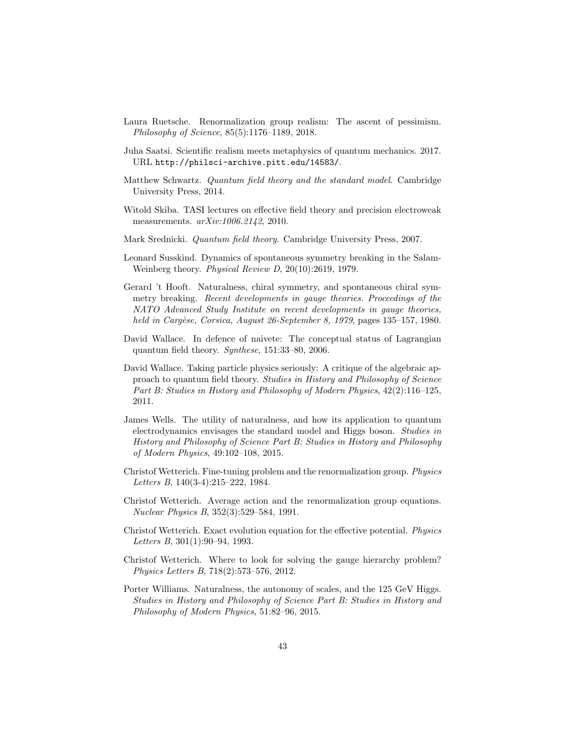- Laura Ruetsche. Renormalization group realism: The ascent of pessimism. Philosophy of Science, 85(5):1176–1189, 2018.
- Juha Saatsi. Scientific realism meets metaphysics of quantum mechanics. 2017. URL http://philsci-archive.pitt.edu/14583/.
- Matthew Schwartz. Quantum field theory and the standard model. Cambridge University Press, 2014.
- Witold Skiba. TASI lectures on effective field theory and precision electroweak measurements.  $arXiv:1006.2142$ , 2010.
- Mark Srednicki. Quantum field theory. Cambridge University Press, 2007.
- Leonard Susskind. Dynamics of spontaneous symmetry breaking in the Salam-Weinberg theory. Physical Review D, 20(10):2619, 1979.
- Gerard 't Hooft. Naturalness, chiral symmetry, and spontaneous chiral symmetry breaking. Recent developments in gauge theories. Proceedings of the NATO Advanced Study Institute on recent developments in gauge theories, held in Cargèse, Corsica, August 26-September 8, 1979, pages 135-157, 1980.
- David Wallace. In defence of naivete: The conceptual status of Lagrangian quantum field theory. Synthese, 151:33–80, 2006.
- David Wallace. Taking particle physics seriously: A critique of the algebraic approach to quantum field theory. Studies in History and Philosophy of Science Part B: Studies in History and Philosophy of Modern Physics, 42(2):116–125, 2011.
- James Wells. The utility of naturalness, and how its application to quantum electrodynamics envisages the standard model and Higgs boson. Studies in History and Philosophy of Science Part B: Studies in History and Philosophy of Modern Physics, 49:102–108, 2015.
- Christof Wetterich. Fine-tuning problem and the renormalization group. Physics Letters B, 140(3-4):215–222, 1984.
- Christof Wetterich. Average action and the renormalization group equations. Nuclear Physics B, 352(3):529–584, 1991.
- Christof Wetterich. Exact evolution equation for the effective potential. Physics Letters B, 301(1):90–94, 1993.
- Christof Wetterich. Where to look for solving the gauge hierarchy problem? Physics Letters B, 718(2):573–576, 2012.
- Porter Williams. Naturalness, the autonomy of scales, and the 125 GeV Higgs. Studies in History and Philosophy of Science Part B: Studies in History and Philosophy of Modern Physics, 51:82–96, 2015.